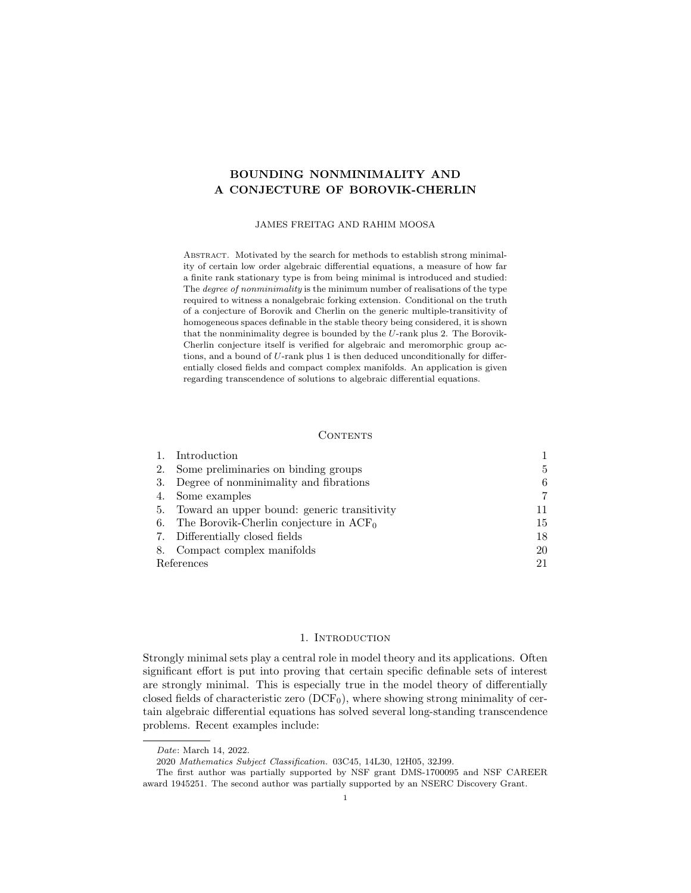# BOUNDING NONMINIMALITY AND A CONJECTURE OF BOROVIK-CHERLIN

### JAMES FREITAG AND RAHIM MOOSA

Abstract. Motivated by the search for methods to establish strong minimality of certain low order algebraic differential equations, a measure of how far a finite rank stationary type is from being minimal is introduced and studied: The degree of nonminimality is the minimum number of realisations of the type required to witness a nonalgebraic forking extension. Conditional on the truth of a conjecture of Borovik and Cherlin on the generic multiple-transitivity of homogeneous spaces definable in the stable theory being considered, it is shown that the nonminimality degree is bounded by the  $U$ -rank plus 2. The Borovik-Cherlin conjecture itself is verified for algebraic and meromorphic group actions, and a bound of U-rank plus 1 is then deduced unconditionally for differentially closed fields and compact complex manifolds. An application is given regarding transcendence of solutions to algebraic differential equations.

### **CONTENTS**

|            | Introduction                                   |    |
|------------|------------------------------------------------|----|
| 2.         | Some preliminaries on binding groups           | 5  |
| 3.         | Degree of nonminimality and fibrations         | 6  |
| 4.         | Some examples                                  |    |
|            | 5. Toward an upper bound: generic transitivity | 11 |
| 6.         | The Borovik-Cherlin conjecture in $ACF_0$      | 15 |
|            | 7. Differentially closed fields                | 18 |
|            | 8. Compact complex manifolds                   | 20 |
| References |                                                | 21 |

# 1. INTRODUCTION

Strongly minimal sets play a central role in model theory and its applications. Often significant effort is put into proving that certain specific definable sets of interest are strongly minimal. This is especially true in the model theory of differentially closed fields of characteristic zero  $(DCF<sub>0</sub>)$ , where showing strong minimality of certain algebraic differential equations has solved several long-standing transcendence problems. Recent examples include:

Date: March 14, 2022.

<sup>2020</sup> Mathematics Subject Classification. 03C45, 14L30, 12H05, 32J99.

The first author was partially supported by NSF grant DMS-1700095 and NSF CAREER award 1945251. The second author was partially supported by an NSERC Discovery Grant.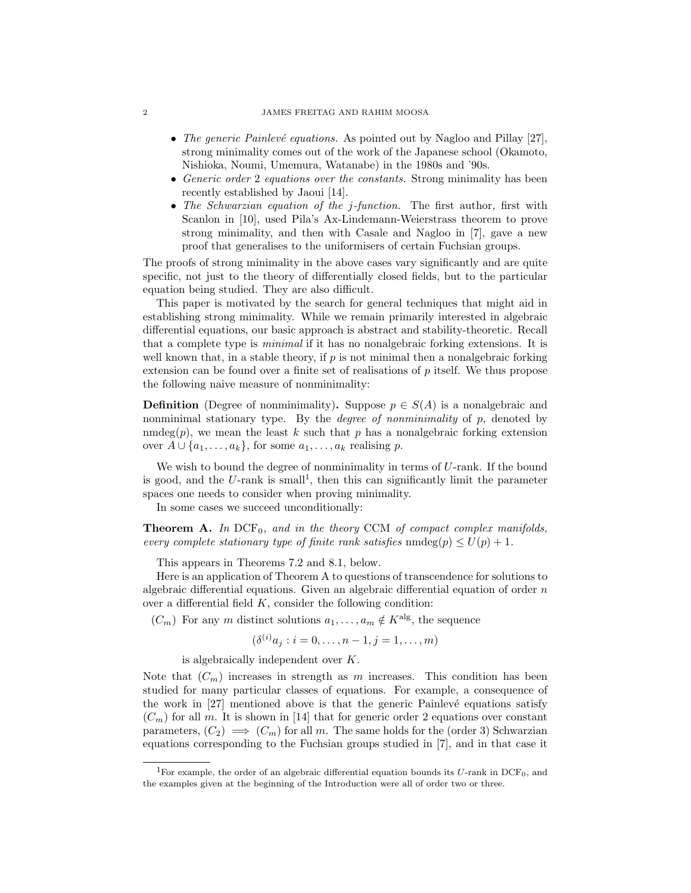#### 2 JAMES FREITAG AND RAHIM MOOSA

- The generic Painlevé equations. As pointed out by Nagloo and Pillay  $[27]$ , strong minimality comes out of the work of the Japanese school (Okamoto, Nishioka, Noumi, Umemura, Watanabe) in the 1980s and '90s.
- Generic order 2 equations over the constants. Strong minimality has been recently established by Jaoui [14].
- The Schwarzian equation of the j-function. The first author, first with Scanlon in [10], used Pila's Ax-Lindemann-Weierstrass theorem to prove strong minimality, and then with Casale and Nagloo in [7], gave a new proof that generalises to the uniformisers of certain Fuchsian groups.

The proofs of strong minimality in the above cases vary significantly and are quite specific, not just to the theory of differentially closed fields, but to the particular equation being studied. They are also difficult.

This paper is motivated by the search for general techniques that might aid in establishing strong minimality. While we remain primarily interested in algebraic differential equations, our basic approach is abstract and stability-theoretic. Recall that a complete type is minimal if it has no nonalgebraic forking extensions. It is well known that, in a stable theory, if  $p$  is not minimal then a nonalgebraic forking extension can be found over a finite set of realisations of  $p$  itself. We thus propose the following naive measure of nonminimality:

**Definition** (Degree of nonminimality). Suppose  $p \in S(A)$  is a nonalgebraic and nonminimal stationary type. By the *degree of nonminimality* of  $p$ , denoted by nmdeg $(p)$ , we mean the least k such that p has a nonalgebraic forking extension over  $A \cup \{a_1, \ldots, a_k\}$ , for some  $a_1, \ldots, a_k$  realising p.

We wish to bound the degree of nonminimality in terms of  $U$ -rank. If the bound is good, and the  $U$ -rank is small<sup>1</sup>, then this can significantly limit the parameter spaces one needs to consider when proving minimality.

In some cases we succeed unconditionally:

**Theorem A.** In  $DCF_0$ , and in the theory CCM of compact complex manifolds, every complete stationary type of finite rank satisfies nmdeg $(p) \leq U(p) + 1$ .

This appears in Theorems 7.2 and 8.1, below.

Here is an application of Theorem A to questions of transcendence for solutions to algebraic differential equations. Given an algebraic differential equation of order  $n$ over a differential field  $K$ , consider the following condition:

 $(C_m)$  For any m distinct solutions  $a_1, \ldots, a_m \notin K^{\text{alg}}$ , the sequence

$$
(\delta^{(i)} a_j : i = 0, \dots, n-1, j = 1, \dots, m)
$$

is algebraically independent over K.

Note that  $(C_m)$  increases in strength as m increases. This condition has been studied for many particular classes of equations. For example, a consequence of the work in  $[27]$  mentioned above is that the generic Painlevé equations satisfy  $(C_m)$  for all m. It is shown in [14] that for generic order 2 equations over constant parameters,  $(C_2) \implies (C_m)$  for all m. The same holds for the (order 3) Schwarzian equations corresponding to the Fuchsian groups studied in [7], and in that case it

<sup>&</sup>lt;sup>1</sup>For example, the order of an algebraic differential equation bounds its U-rank in DCF<sub>0</sub>, and the examples given at the beginning of the Introduction were all of order two or three.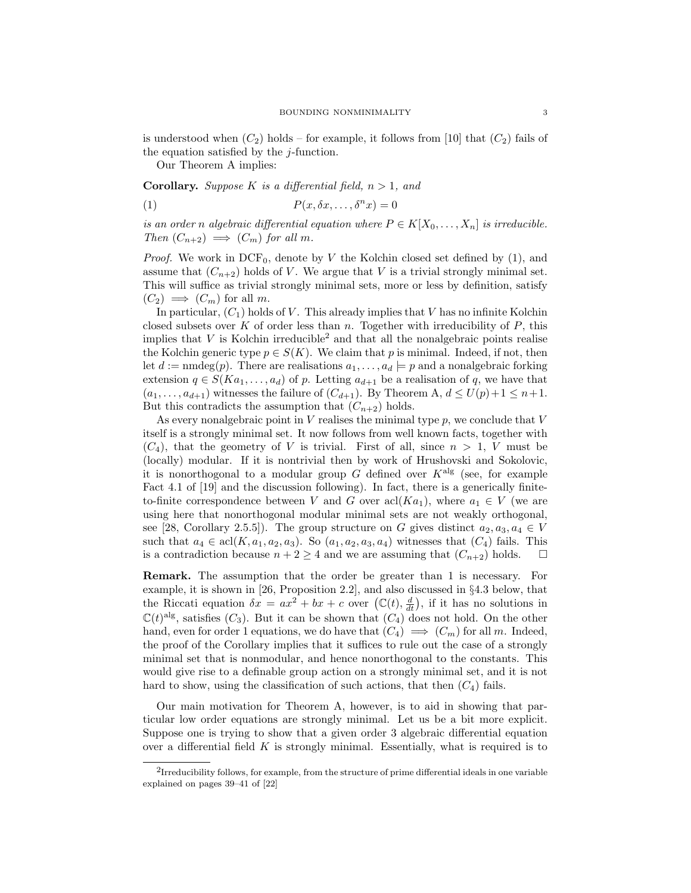is understood when  $(C_2)$  holds – for example, it follows from [10] that  $(C_2)$  fails of the equation satisfied by the  $i$ -function.

Our Theorem A implies:

**Corollary.** Suppose K is a differential field,  $n > 1$ , and

$$
(1) \t\t P(x, \delta x, \dots, \delta^n x) = 0
$$

is an order n algebraic differential equation where  $P \in K[X_0, \ldots, X_n]$  is irreducible. Then  $(C_{n+2}) \implies (C_m)$  for all m.

*Proof.* We work in  $DCF_0$ , denote by V the Kolchin closed set defined by (1), and assume that  $(C_{n+2})$  holds of V. We argue that V is a trivial strongly minimal set. This will suffice as trivial strongly minimal sets, more or less by definition, satisfy  $(C_2) \implies (C_m)$  for all m.

In particular,  $(C_1)$  holds of V. This already implies that V has no infinite Kolchin closed subsets over  $K$  of order less than n. Together with irreducibility of  $P$ , this implies that  $V$  is Kolchin irreducible<sup>2</sup> and that all the nonalgebraic points realise the Kolchin generic type  $p \in S(K)$ . We claim that p is minimal. Indeed, if not, then let  $d := \text{nmdeg}(p)$ . There are realisations  $a_1, \ldots, a_d \models p$  and a nonalgebraic forking extension  $q \in S(Ka_1, \ldots, a_d)$  of p. Letting  $a_{d+1}$  be a realisation of q, we have that  $(a_1, \ldots, a_{d+1})$  witnesses the failure of  $(C_{d+1})$ . By Theorem A,  $d \leq U(p)+1 \leq n+1$ . But this contradicts the assumption that  $(C_{n+2})$  holds.

As every nonalgebraic point in  $V$  realises the minimal type  $p$ , we conclude that  $V$ itself is a strongly minimal set. It now follows from well known facts, together with  $(C_4)$ , that the geometry of V is trivial. First of all, since  $n > 1$ , V must be (locally) modular. If it is nontrivial then by work of Hrushovski and Sokolovic, it is nonorthogonal to a modular group G defined over  $K^{\text{alg}}$  (see, for example Fact 4.1 of [19] and the discussion following). In fact, there is a generically finiteto-finite correspondence between V and G over  $\operatorname{acl}(Ka_1)$ , where  $a_1 \in V$  (we are using here that nonorthogonal modular minimal sets are not weakly orthogonal, see [28, Corollary 2.5.5]). The group structure on G gives distinct  $a_2, a_3, a_4 \in V$ such that  $a_4 \in \text{acl}(K, a_1, a_2, a_3)$ . So  $(a_1, a_2, a_3, a_4)$  witnesses that  $(C_4)$  fails. This is a contradiction because  $n + 2 \geq 4$  and we are assuming that  $(C_{n+2})$  holds.  $\Box$ 

Remark. The assumption that the order be greater than 1 is necessary. For example, it is shown in [26, Proposition 2.2], and also discussed in §4.3 below, that the Riccati equation  $\delta x = ax^2 + bx + c$  over  $(\mathbb{C}(t), \frac{d}{dt})$ , if it has no solutions in  $\mathbb{C}(t)$ <sup>alg</sup>, satisfies  $(C_3)$ . But it can be shown that  $(C_4)$  does not hold. On the other hand, even for order 1 equations, we do have that  $(C_4) \implies (C_m)$  for all m. Indeed, the proof of the Corollary implies that it suffices to rule out the case of a strongly minimal set that is nonmodular, and hence nonorthogonal to the constants. This would give rise to a definable group action on a strongly minimal set, and it is not hard to show, using the classification of such actions, that then  $(C_4)$  fails.

Our main motivation for Theorem A, however, is to aid in showing that particular low order equations are strongly minimal. Let us be a bit more explicit. Suppose one is trying to show that a given order 3 algebraic differential equation over a differential field  $K$  is strongly minimal. Essentially, what is required is to

<sup>&</sup>lt;sup>2</sup>Irreducibility follows, for example, from the structure of prime differential ideals in one variable explained on pages 39–41 of [22]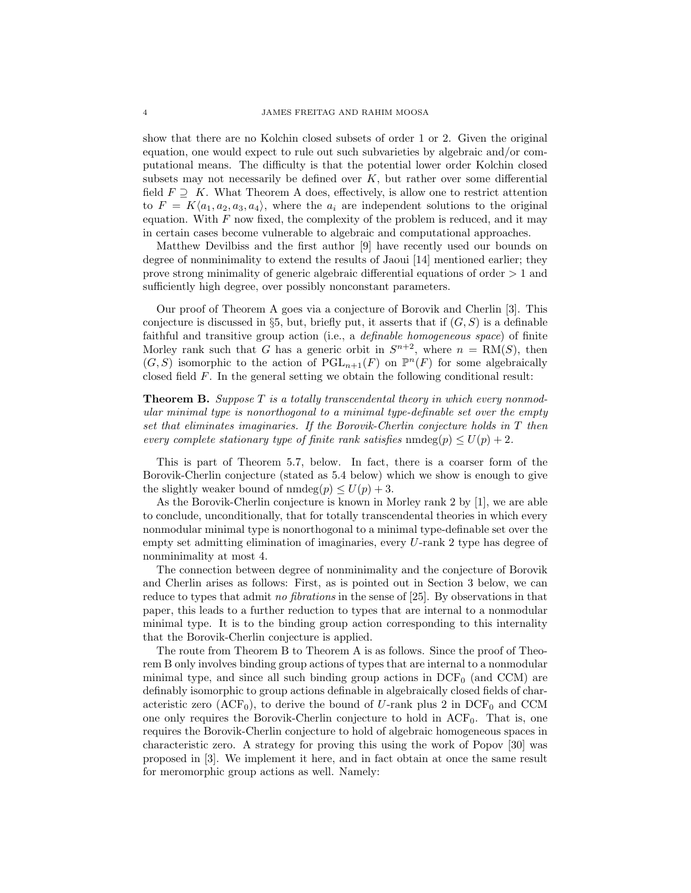show that there are no Kolchin closed subsets of order 1 or 2. Given the original equation, one would expect to rule out such subvarieties by algebraic and/or computational means. The difficulty is that the potential lower order Kolchin closed subsets may not necessarily be defined over  $K$ , but rather over some differential field  $F \supseteq K$ . What Theorem A does, effectively, is allow one to restrict attention to  $F = K\langle a_1, a_2, a_3, a_4 \rangle$ , where the  $a_i$  are independent solutions to the original equation. With  $F$  now fixed, the complexity of the problem is reduced, and it may in certain cases become vulnerable to algebraic and computational approaches.

Matthew Devilbiss and the first author [9] have recently used our bounds on degree of nonminimality to extend the results of Jaoui [14] mentioned earlier; they prove strong minimality of generic algebraic differential equations of order > 1 and sufficiently high degree, over possibly nonconstant parameters.

Our proof of Theorem A goes via a conjecture of Borovik and Cherlin [3]. This conjecture is discussed in §5, but, briefly put, it asserts that if  $(G, S)$  is a definable faithful and transitive group action (i.e., a definable homogeneous space) of finite Morley rank such that G has a generic orbit in  $S^{n+2}$ , where  $n = RM(S)$ , then  $(G, S)$  isomorphic to the action of  $PGL_{n+1}(F)$  on  $\mathbb{P}^n(F)$  for some algebraically closed field F. In the general setting we obtain the following conditional result:

**Theorem B.** Suppose  $T$  is a totally transcendental theory in which every nonmodular minimal type is nonorthogonal to a minimal type-definable set over the empty set that eliminates imaginaries. If the Borovik-Cherlin conjecture holds in T then every complete stationary type of finite rank satisfies nmdeg $(p) \leq U(p) + 2$ .

This is part of Theorem 5.7, below. In fact, there is a coarser form of the Borovik-Cherlin conjecture (stated as 5.4 below) which we show is enough to give the slightly weaker bound of  $\text{nmdeg}(p) \leq U(p) + 3$ .

As the Borovik-Cherlin conjecture is known in Morley rank 2 by [1], we are able to conclude, unconditionally, that for totally transcendental theories in which every nonmodular minimal type is nonorthogonal to a minimal type-definable set over the empty set admitting elimination of imaginaries, every U-rank 2 type has degree of nonminimality at most 4.

The connection between degree of nonminimality and the conjecture of Borovik and Cherlin arises as follows: First, as is pointed out in Section 3 below, we can reduce to types that admit no fibrations in the sense of [25]. By observations in that paper, this leads to a further reduction to types that are internal to a nonmodular minimal type. It is to the binding group action corresponding to this internality that the Borovik-Cherlin conjecture is applied.

The route from Theorem B to Theorem A is as follows. Since the proof of Theorem B only involves binding group actions of types that are internal to a nonmodular minimal type, and since all such binding group actions in  $DCF_0$  (and CCM) are definably isomorphic to group actions definable in algebraically closed fields of characteristic zero  $(ACF_0)$ , to derive the bound of U-rank plus 2 in DCF<sub>0</sub> and CCM one only requires the Borovik-Cherlin conjecture to hold in  $ACF_0$ . That is, one requires the Borovik-Cherlin conjecture to hold of algebraic homogeneous spaces in characteristic zero. A strategy for proving this using the work of Popov [30] was proposed in [3]. We implement it here, and in fact obtain at once the same result for meromorphic group actions as well. Namely: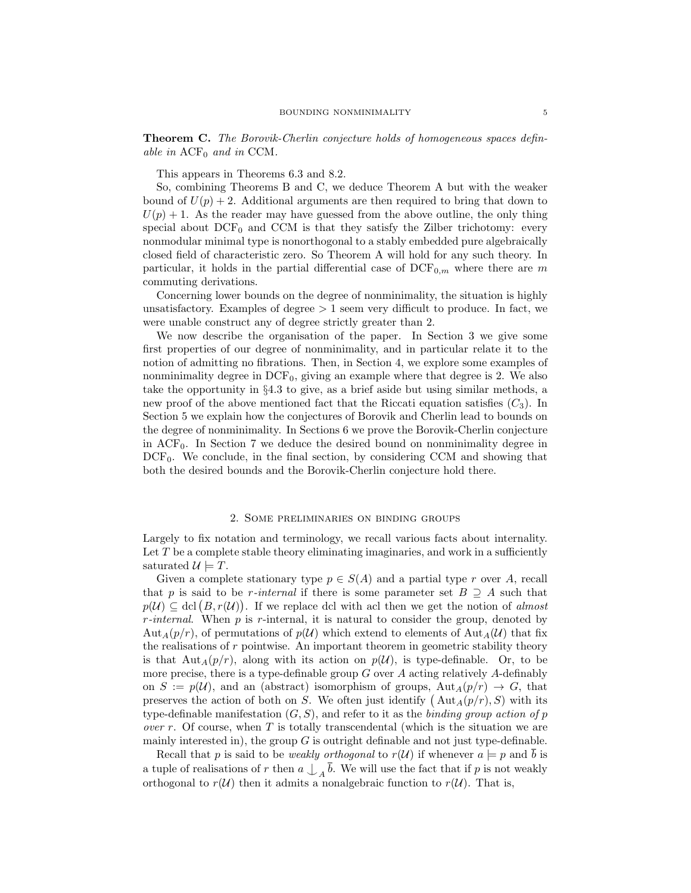Theorem C. The Borovik-Cherlin conjecture holds of homogeneous spaces definable in  $\text{ACF}_0$  and in CCM.

This appears in Theorems 6.3 and 8.2.

So, combining Theorems B and C, we deduce Theorem A but with the weaker bound of  $U(p) + 2$ . Additional arguments are then required to bring that down to  $U(p) + 1$ . As the reader may have guessed from the above outline, the only thing special about  $DCF_0$  and CCM is that they satisfy the Zilber trichotomy: every nonmodular minimal type is nonorthogonal to a stably embedded pure algebraically closed field of characteristic zero. So Theorem A will hold for any such theory. In particular, it holds in the partial differential case of  $DCF_{0,m}$  where there are m commuting derivations.

Concerning lower bounds on the degree of nonminimality, the situation is highly unsatisfactory. Examples of degree  $> 1$  seem very difficult to produce. In fact, we were unable construct any of degree strictly greater than 2.

We now describe the organisation of the paper. In Section 3 we give some first properties of our degree of nonminimality, and in particular relate it to the notion of admitting no fibrations. Then, in Section 4, we explore some examples of nonminimality degree in  $DCF_0$ , giving an example where that degree is 2. We also take the opportunity in §4.3 to give, as a brief aside but using similar methods, a new proof of the above mentioned fact that the Riccati equation satisfies  $(C_3)$ . In Section 5 we explain how the conjectures of Borovik and Cherlin lead to bounds on the degree of nonminimality. In Sections 6 we prove the Borovik-Cherlin conjecture in  $ACF_0$ . In Section 7 we deduce the desired bound on nonminimality degree in  $DCF<sub>0</sub>$ . We conclude, in the final section, by considering CCM and showing that both the desired bounds and the Borovik-Cherlin conjecture hold there.

#### 2. Some preliminaries on binding groups

Largely to fix notation and terminology, we recall various facts about internality. Let  $T$  be a complete stable theory eliminating imaginaries, and work in a sufficiently saturated  $\mathcal{U} \models T$ .

Given a complete stationary type  $p \in S(A)$  and a partial type r over A, recall that p is said to be r-internal if there is some parameter set  $B \supseteq A$  such that  $p(\mathcal{U}) \subseteq$  dcl  $(B, r(\mathcal{U}))$ . If we replace dcl with acl then we get the notion of almost  $r$ -internal. When  $p$  is  $r$ -internal, it is natural to consider the group, denoted by Aut<sub>A</sub> $(p/r)$ , of permutations of  $p(\mathcal{U})$  which extend to elements of Aut<sub>A</sub> $(\mathcal{U})$  that fix the realisations of r pointwise. An important theorem in geometric stability theory is that  $\text{Aut}_{A}(p/r)$ , along with its action on  $p(\mathcal{U})$ , is type-definable. Or, to be more precise, there is a type-definable group  $G$  over  $A$  acting relatively  $A$ -definably on  $S := p(\mathcal{U})$ , and an (abstract) isomorphism of groups,  $Aut_A(p/r) \to G$ , that preserves the action of both on S. We often just identify  $(\text{Aut}_A(p/r), S)$  with its type-definable manifestation  $(G, S)$ , and refer to it as the binding group action of p over r. Of course, when  $T$  is totally transcendental (which is the situation we are mainly interested in), the group  $G$  is outright definable and not just type-definable.

Recall that p is said to be *weakly orthogonal* to  $r(\mathcal{U})$  if whenever  $a \models p$  and b is a tuple of realisations of r then  $a \nvert_A b$ . We will use the fact that if p is not weakly orthogonal to  $r(\mathcal{U})$  then it admits a nonalgebraic function to  $r(\mathcal{U})$ . That is,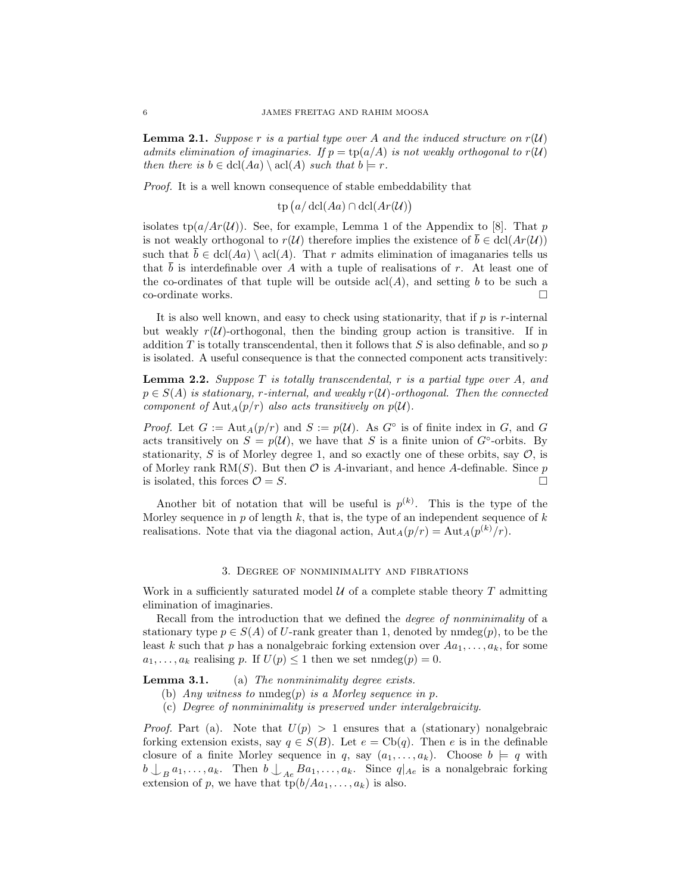**Lemma 2.1.** Suppose r is a partial type over A and the induced structure on  $r(\mathcal{U})$ admits elimination of imaginaries. If  $p = \text{tp}(a/A)$  is not weakly orthogonal to  $r(U)$ then there is  $b \in \text{dcl}(Aa) \setminus \text{acl}(A)$  such that  $b \models r$ .

Proof. It is a well known consequence of stable embeddability that

 $tp(a/\text{dcl}(Aa) \cap \text{dcl}(Ar(\mathcal{U}))$ 

isolates tp( $a/Ar(\mathcal{U})$ ). See, for example, Lemma 1 of the Appendix to [8]. That p is not weakly orthogonal to  $r(\mathcal{U})$  therefore implies the existence of  $\overline{b} \in \text{dcl}(Ar(\mathcal{U}))$ such that  $\bar{b} \in \text{dcl}(Aa) \setminus \text{acl}(A)$ . That r admits elimination of imaganaries tells us that  $\overline{b}$  is interdefinable over A with a tuple of realisations of r. At least one of the co-ordinates of that tuple will be outside  $\operatorname{acl}(A)$ , and setting b to be such a co-ordinate works.  $\Box$ 

It is also well known, and easy to check using stationarity, that if  $p$  is  $r$ -internal but weakly  $r(\mathcal{U})$ -orthogonal, then the binding group action is transitive. If in addition T is totally transcendental, then it follows that S is also definable, and so  $p$ is isolated. A useful consequence is that the connected component acts transitively:

**Lemma 2.2.** Suppose  $T$  is totally transcendental,  $r$  is a partial type over  $A$ , and  $p \in S(A)$  is stationary, r-internal, and weakly  $r(\mathcal{U})$ -orthogonal. Then the connected component of  $\text{Aut}_A(p/r)$  also acts transitively on  $p(\mathcal{U})$ .

*Proof.* Let  $G := \text{Aut}_A(p/r)$  and  $S := p(\mathcal{U})$ . As  $G^{\circ}$  is of finite index in G, and G acts transitively on  $S = p(\mathcal{U})$ , we have that S is a finite union of  $G^{\circ}$ -orbits. By stationarity, S is of Morley degree 1, and so exactly one of these orbits, say  $\mathcal{O}$ , is of Morley rank RM(S). But then  $\mathcal O$  is A-invariant, and hence A-definable. Since p is isolated, this forces  $\mathcal{O} = S$ .

Another bit of notation that will be useful is  $p^{(k)}$ . This is the type of the Morley sequence in p of length k, that is, the type of an independent sequence of  $k$ realisations. Note that via the diagonal action,  $\text{Aut}_A(p/r) = \text{Aut}_A(p^{(k)}/r)$ .

### 3. Degree of nonminimality and fibrations

Work in a sufficiently saturated model  $U$  of a complete stable theory  $T$  admitting elimination of imaginaries.

Recall from the introduction that we defined the *degree of nonminimality* of a stationary type  $p \in S(A)$  of U-rank greater than 1, denoted by nmdeg $(p)$ , to be the least k such that p has a nonalgebraic forking extension over  $Aa_1, \ldots, a_k$ , for some  $a_1, \ldots, a_k$  realising p. If  $U(p) \leq 1$  then we set nmdeg $(p) = 0$ .

Lemma 3.1. (a) The nonminimality degree exists.

- (b) Any witness to nmdeg $(p)$  is a Morley sequence in p.
- (c) Degree of nonminimality is preserved under interalgebraicity.

*Proof.* Part (a). Note that  $U(p) > 1$  ensures that a (stationary) nonalgebraic forking extension exists, say  $q \in S(B)$ . Let  $e = \text{Cb}(q)$ . Then e is in the definable closure of a finite Morley sequence in q, say  $(a_1, \ldots, a_k)$ . Choose  $b \models q$  with  $b \bigcup_{B} a_1, \ldots, a_k$ . Then  $b \bigcup_{Ae} Ba_1, \ldots, a_k$ . Since  $q|_{Ae}$  is a nonalgebraic forking extension of p, we have that  $tp(b/Aa_1, \ldots, a_k)$  is also.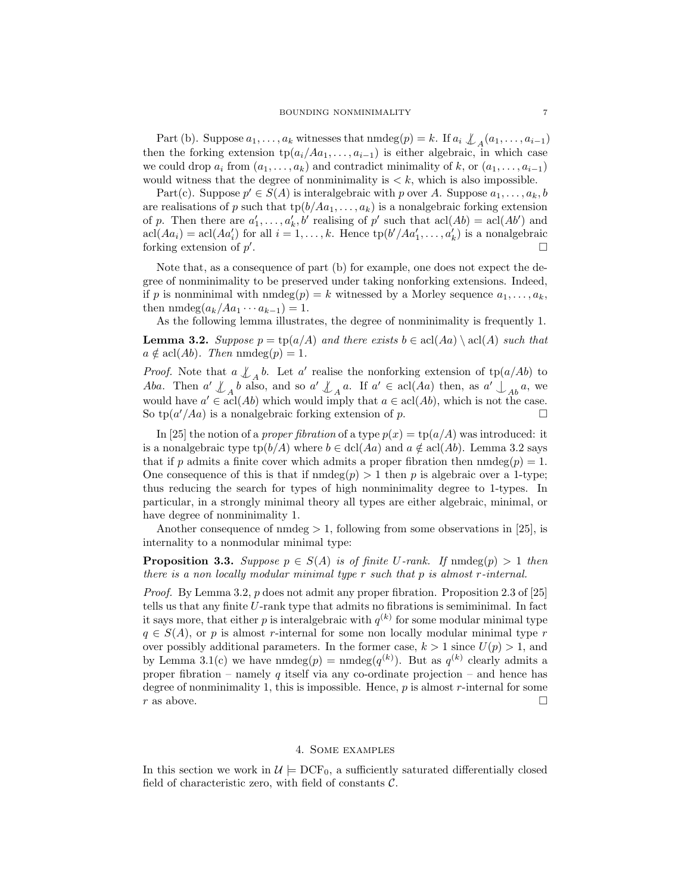Part (b). Suppose  $a_1, \ldots, a_k$  witnesses that  $\operatorname{mdeg}(p) = k$ . If  $a_i \nsubseteq A(a_1, \ldots, a_{i-1})$ then the forking extension  $tp(a_i/Aa_1, \ldots, a_{i-1})$  is either algebraic, in which case we could drop  $a_i$  from  $(a_1, \ldots, a_k)$  and contradict minimality of k, or  $(a_1, \ldots, a_{i-1})$ would witness that the degree of nonminimality is  $\lt k$ , which is also impossible.

Part(c). Suppose  $p' \in S(A)$  is interalgebraic with p over A. Suppose  $a_1, \ldots, a_k, b$ are realisations of p such that  $tp(b/Aa_1, \ldots, a_k)$  is a nonalgebraic forking extension of p. Then there are  $a'_1, \ldots, a'_k, b'$  realising of p' such that  $\operatorname{acl}(Ab) = \operatorname{acl}(Ab')$  and  $\text{acl}(Aa_i) = \text{acl}(Aa'_i)$  for all  $i = 1, ..., k$ . Hence  $\text{tp}(b'/Aa'_1, ..., a'_k)$  is a nonalgebraic forking extension of  $p'$ . □

Note that, as a consequence of part (b) for example, one does not expect the degree of nonminimality to be preserved under taking nonforking extensions. Indeed, if p is nonminimal with nmdeg $(p) = k$  witnessed by a Morley sequence  $a_1, \ldots, a_k$ , then nmdeg $(a_k/Aa_1 \cdots a_{k-1}) = 1$ .

As the following lemma illustrates, the degree of nonminimality is frequently 1.

**Lemma 3.2.** Suppose  $p = \text{tp}(a/A)$  and there exists  $b \in \text{acl}(A) \setminus \text{acl}(A)$  such that  $a \notin \operatorname{acl}(Ab)$ . Then nmdeg $(p) = 1$ .

*Proof.* Note that  $a \nightharpoonup_A b$ . Let a' realise the nonforking extension of tp(a/Ab) to Aba. Then  $a' \nleq_A b$  also, and so  $a' \nleq_A a$ . If  $a' \in \text{acl}(Aa)$  then, as  $a' \nleq_{A} a$ , we would have  $a' \in \text{acl}(Ab)$  which would imply that  $a \in \text{acl}(Ab)$ , which is not the case. So  $tp(a'/Aa)$  is a nonalgebraic forking extension of p.  $\Box$ 

In [25] the notion of a *proper fibration* of a type  $p(x) = \text{tp}(a/A)$  was introduced: it is a nonalgebraic type  $\text{tp}(b/A)$  where  $b \in \text{dcl}(Aa)$  and  $a \notin \text{acl}(Ab)$ . Lemma 3.2 says that if p admits a finite cover which admits a proper fibration then  $\text{nmdeg}(p) = 1$ . One consequence of this is that if  $\text{nmdeg}(p) > 1$  then p is algebraic over a 1-type; thus reducing the search for types of high nonminimality degree to 1-types. In particular, in a strongly minimal theory all types are either algebraic, minimal, or have degree of nonminimality 1.

Another consequence of  $\mu$  and  $\geq 1$ , following from some observations in [25], is internality to a nonmodular minimal type:

**Proposition 3.3.** Suppose  $p \in S(A)$  is of finite U-rank. If  $\text{nmdeg}(p) > 1$  then there is a non locally modular minimal type r such that p is almost r-internal.

Proof. By Lemma 3.2, p does not admit any proper fibration. Proposition 2.3 of [25] tells us that any finite U-rank type that admits no fibrations is semiminimal. In fact it says more, that either p is interalgebraic with  $q^{(k)}$  for some modular minimal type  $q \in S(A)$ , or p is almost r-internal for some non locally modular minimal type r over possibly additional parameters. In the former case,  $k > 1$  since  $U(p) > 1$ , and by Lemma 3.1(c) we have nmdeg $(p) = \text{nmdeg}(q^{(k)})$ . But as  $q^{(k)}$  clearly admits a proper fibration – namely q itself via any co-ordinate projection – and hence has degree of nonminimality 1, this is impossible. Hence,  $p$  is almost  $r$ -internal for some r as above.  $\Box$ 

# 4. Some examples

In this section we work in  $\mathcal{U} \models DCF_0$ , a sufficiently saturated differentially closed field of characteristic zero, with field of constants  $C$ .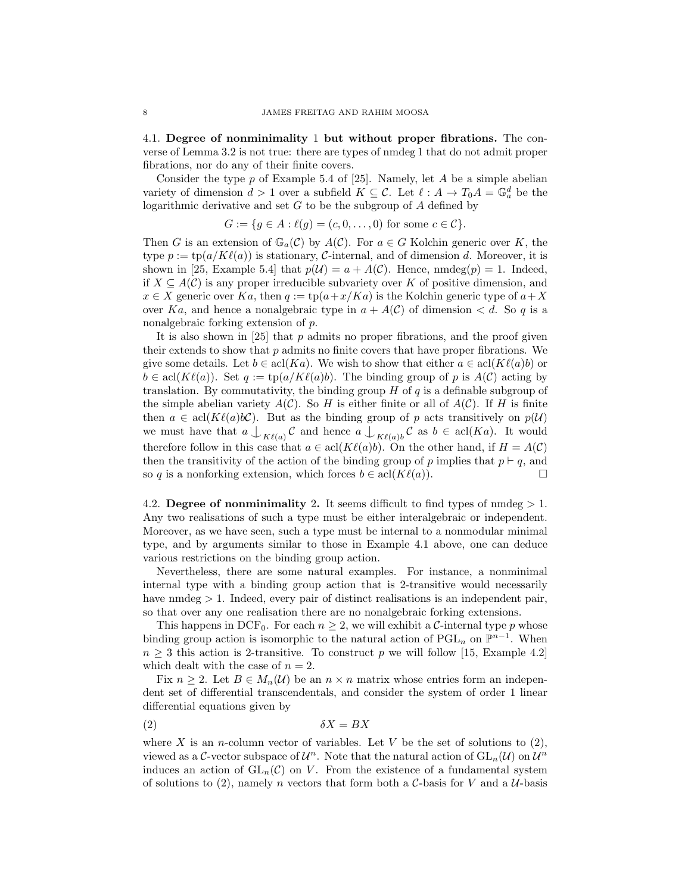4.1. Degree of nonminimality 1 but without proper fibrations. The converse of Lemma 3.2 is not true: there are types of nmdeg 1 that do not admit proper fibrations, nor do any of their finite covers.

Consider the type  $p$  of Example 5.4 of [25]. Namely, let  $A$  be a simple abelian variety of dimension  $d > 1$  over a subfield  $K \subseteq \mathcal{C}$ . Let  $\ell : A \to T_0A = \mathbb{G}_a^d$  be the logarithmic derivative and set  $G$  to be the subgroup of  $A$  defined by

$$
G := \{ g \in A : \ell(g) = (c, 0, \dots, 0) \text{ for some } c \in C \}.
$$

Then G is an extension of  $\mathbb{G}_a(\mathcal{C})$  by  $A(\mathcal{C})$ . For  $a \in G$  Kolchin generic over K, the type  $p := \text{tp}(a/K\ell(a))$  is stationary, C-internal, and of dimension d. Moreover, it is shown in [25, Example 5.4] that  $p(\mathcal{U}) = a + A(\mathcal{C})$ . Hence, nmdeg $(p) = 1$ . Indeed, if  $X \subseteq A(\mathcal{C})$  is any proper irreducible subvariety over K of positive dimension, and  $x \in X$  generic over Ka, then  $q := \text{tp}(a+x/Ka)$  is the Kolchin generic type of  $a+X$ over Ka, and hence a nonalgebraic type in  $a + A(C)$  of dimension  $\lt d$ . So q is a nonalgebraic forking extension of p.

It is also shown in [25] that  $p$  admits no proper fibrations, and the proof given their extends to show that  $p$  admits no finite covers that have proper fibrations. We give some details. Let  $b \in \text{acl}(Ka)$ . We wish to show that either  $a \in \text{acl}(K\ell(a)b)$  or  $b \in \text{acl}(K\ell(a))$ . Set  $q := \text{tp}(a/K\ell(a)b)$ . The binding group of p is  $A(\mathcal{C})$  acting by translation. By commutativity, the binding group  $H$  of  $q$  is a definable subgroup of the simple abelian variety  $A(\mathcal{C})$ . So H is either finite or all of  $A(\mathcal{C})$ . If H is finite then  $a \in \text{acl}(K\ell(a)b\mathcal{C})$ . But as the binding group of p acts transitively on  $p(\mathcal{U})$ we must have that  $a \n\bigcup_{K\ell(a)} C$  and hence  $a \n\bigcup_{K\ell(a)b} C$  as  $b \in \text{acl}(Ka)$ . It would therefore follow in this case that  $a \in \text{acl}(K\ell(a)b)$ . On the other hand, if  $H = A(\mathcal{C})$ then the transitivity of the action of the binding group of p implies that  $p \vdash q$ , and so q is a nonforking extension, which forces  $b \in \text{acl}(K\ell(a))$ .

4.2. Degree of nonminimality 2. It seems difficult to find types of nmdeg  $>1$ . Any two realisations of such a type must be either interalgebraic or independent. Moreover, as we have seen, such a type must be internal to a nonmodular minimal type, and by arguments similar to those in Example 4.1 above, one can deduce various restrictions on the binding group action.

Nevertheless, there are some natural examples. For instance, a nonminimal internal type with a binding group action that is 2-transitive would necessarily have nmdeg  $> 1$ . Indeed, every pair of distinct realisations is an independent pair, so that over any one realisation there are no nonalgebraic forking extensions.

This happens in DCF<sub>0</sub>. For each  $n \geq 2$ , we will exhibit a C-internal type p whose binding group action is isomorphic to the natural action of  $PGL_n$  on  $\mathbb{P}^{n-1}$ . When  $n \geq 3$  this action is 2-transitive. To construct p we will follow [15, Example 4.2] which dealt with the case of  $n = 2$ .

Fix  $n \geq 2$ . Let  $B \in M_n(\mathcal{U})$  be an  $n \times n$  matrix whose entries form an independent set of differential transcendentals, and consider the system of order 1 linear differential equations given by

$$
\delta X = BX
$$

where X is an *n*-column vector of variables. Let V be the set of solutions to  $(2)$ , viewed as a  $\mathcal{C}$ -vector subspace of  $\mathcal{U}^n$ . Note that the natural action of  $GL_n(\mathcal{U})$  on  $\mathcal{U}^n$ induces an action of  $GL_n(\mathcal{C})$  on V. From the existence of a fundamental system of solutions to (2), namely n vectors that form both a  $\mathcal{C}$ -basis for V and a  $\mathcal{U}$ -basis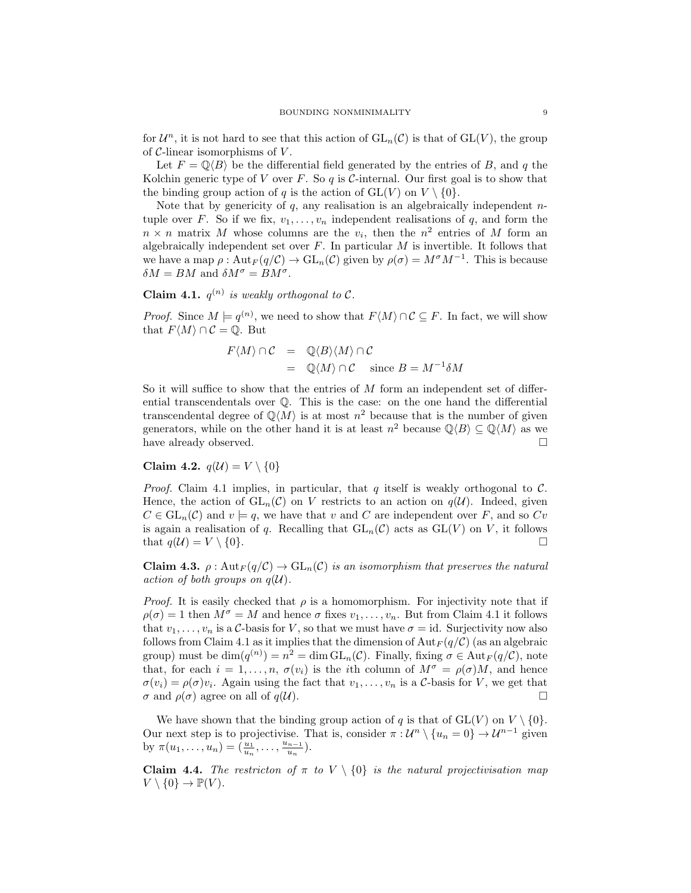for  $\mathcal{U}^n$ , it is not hard to see that this action of  $\operatorname{GL}_n(\mathcal{C})$  is that of  $\operatorname{GL}(V)$ , the group of  $C$ -linear isomorphisms of  $V$ .

Let  $F = \mathbb{Q}\langle B \rangle$  be the differential field generated by the entries of B, and q the Kolchin generic type of V over  $F$ . So  $q$  is  $C$ -internal. Our first goal is to show that the binding group action of q is the action of  $GL(V)$  on  $V \setminus \{0\}.$ 

Note that by genericity of  $q$ , any realisation is an algebraically independent  $n$ tuple over F. So if we fix,  $v_1, \ldots, v_n$  independent realisations of q, and form the  $n \times n$  matrix M whose columns are the  $v_i$ , then the  $n^2$  entries of M form an algebraically independent set over  $F$ . In particular  $M$  is invertible. It follows that we have a map  $\rho: \text{Aut}_F(q/\mathcal{C}) \to \text{GL}_n(\mathcal{C})$  given by  $\rho(\sigma) = M^{\sigma} M^{-1}$ . This is because  $\delta M = BM$  and  $\delta M^{\sigma} = BM^{\sigma}$ .

**Claim 4.1.**  $q^{(n)}$  is weakly orthogonal to C.

*Proof.* Since  $M \models q^{(n)}$ , we need to show that  $F\langle M \rangle \cap C \subseteq F$ . In fact, we will show that  $F\langle M\rangle \cap C = \mathbb{Q}$ . But

$$
F\langle M \rangle \cap C = \mathbb{Q}\langle B \rangle \langle M \rangle \cap C
$$
  
=  $\mathbb{Q}\langle M \rangle \cap C$  since  $B = M^{-1}\delta M$ 

So it will suffice to show that the entries of M form an independent set of differential transcendentals over Q. This is the case: on the one hand the differential transcendental degree of  $\mathbb{Q}\langle M \rangle$  is at most  $n^2$  because that is the number of given generators, while on the other hand it is at least  $n^2$  because  $\mathbb{Q}\langle B\rangle \subseteq \mathbb{Q}\langle M\rangle$  as we have already observed.  $\hfill \square$ 

Claim 4.2.  $q(\mathcal{U}) = V \setminus \{0\}$ 

*Proof.* Claim 4.1 implies, in particular, that q itself is weakly orthogonal to  $\mathcal{C}$ . Hence, the action of  $GL_n(\mathcal{C})$  on V restricts to an action on  $q(\mathcal{U})$ . Indeed, given  $C \in GL_n(\mathcal{C})$  and  $v \models q$ , we have that v and C are independent over F, and so Cv is again a realisation of q. Recalling that  $GL_n(\mathcal{C})$  acts as  $GL(V)$  on V, it follows that  $q(\mathcal{U}) = V \setminus \{0\}.$ 

**Claim 4.3.**  $\rho : \text{Aut}_{F}(q/\mathcal{C}) \to \text{GL}_{n}(\mathcal{C})$  is an isomorphism that preserves the natural action of both groups on  $q(\mathcal{U})$ .

*Proof.* It is easily checked that  $\rho$  is a homomorphism. For injectivity note that if  $\rho(\sigma) = 1$  then  $M^{\sigma} = M$  and hence  $\sigma$  fixes  $v_1, \ldots, v_n$ . But from Claim 4.1 it follows that  $v_1, \ldots, v_n$  is a C-basis for V, so that we must have  $\sigma = id$ . Surjectivity now also follows from Claim 4.1 as it implies that the dimension of  $\text{Aut}_F(q/\mathcal{C})$  (as an algebraic group) must be  $\dim(q^{(n)}) = n^2 = \dim GL_n(\mathcal{C})$ . Finally, fixing  $\sigma \in \text{Aut}_F(q/\mathcal{C})$ , note that, for each  $i = 1, \ldots, n$ ,  $\sigma(v_i)$  is the *i*th column of  $M^{\sigma} = \rho(\sigma)M$ , and hence  $\sigma(v_i) = \rho(\sigma)v_i$ . Again using the fact that  $v_1, \ldots, v_n$  is a C-basis for V, we get that  $\sigma$  and  $\rho(\sigma)$  agree on all of  $q(\mathcal{U})$ .

We have shown that the binding group action of q is that of  $GL(V)$  on  $V \setminus \{0\}$ . Our next step is to projectivise. That is, consider  $\pi : \mathcal{U}^n \setminus \{u_n = 0\} \to \mathcal{U}^{n-1}$  given by  $\pi(u_1,\ldots,u_n) = \left(\frac{u_1}{u_n},\ldots,\frac{u_{n-1}}{u_n}\right)$  $\frac{n-1}{u_n}$ ).

**Claim 4.4.** The restricton of  $\pi$  to  $V \setminus \{0\}$  is the natural projectivisation map  $V \setminus \{0\} \to \mathbb{P}(V)$ .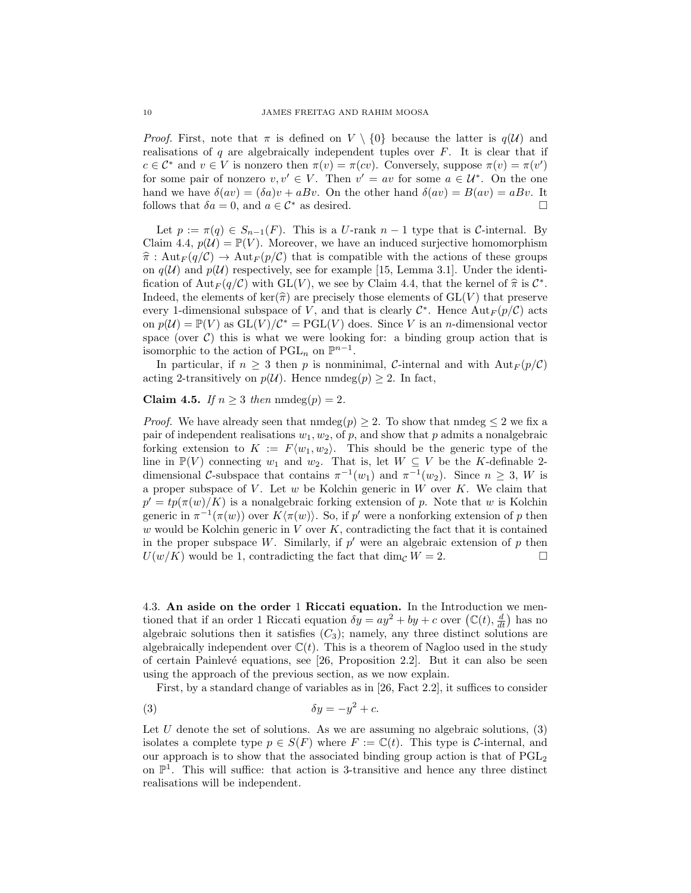*Proof.* First, note that  $\pi$  is defined on  $V \setminus \{0\}$  because the latter is  $q(\mathcal{U})$  and realisations of q are algebraically independent tuples over  $F$ . It is clear that if  $c \in \mathcal{C}^*$  and  $v \in V$  is nonzero then  $\pi(v) = \pi(cv)$ . Conversely, suppose  $\pi(v) = \pi(v')$ for some pair of nonzero  $v, v' \in V$ . Then  $v' = av$  for some  $a \in \mathcal{U}^*$ . On the one hand we have  $\delta(av) = (\delta a)v + aBv$ . On the other hand  $\delta(av) = B(av) = aBv$ . It follows that  $\delta a = 0$ , and  $a \in \mathcal{C}^*$  as desired. □

Let  $p := \pi(q) \in S_{n-1}(F)$ . This is a U-rank  $n-1$  type that is C-internal. By Claim 4.4,  $p(\mathcal{U}) = \mathbb{P}(V)$ . Moreover, we have an induced surjective homomorphism  $\hat{\pi}$ : Aut $_F (q/C) \to$  Aut $_F (p/C)$  that is compatible with the actions of these groups on  $q(\mathcal{U})$  and  $p(\mathcal{U})$  respectively, see for example [15, Lemma 3.1]. Under the identification of  $\text{Aut}_F(q/\mathcal{C})$  with  $\text{GL}(V)$ , we see by Claim 4.4, that the kernel of  $\hat{\pi}$  is  $\mathcal{C}^*$ .<br>Indeed, the elements of ker $(\hat{\pi})$  are precisely these elements of  $\text{GL}(V)$  that preserve Indeed, the elements of ker( $\hat{\pi}$ ) are precisely those elements of  $GL(V)$  that preserve every 1-dimensional subspace of V, and that is clearly  $\mathcal{C}^*$ . Hence  $\text{Aut}_F(p/\mathcal{C})$  acts on  $p(\mathcal{U}) = \mathbb{P}(V)$  as  $GL(V)/C^* = PGL(V)$  does. Since V is an *n*-dimensional vector space (over  $\mathcal{C}$ ) this is what we were looking for: a binding group action that is isomorphic to the action of  $PGL_n$  on  $\mathbb{P}^{n-1}$ .

In particular, if  $n \geq 3$  then p is nonminimal, C-internal and with  ${\rm Aut}_F(p/\mathcal{C})$ acting 2-transitively on  $p(\mathcal{U})$ . Hence nmdeg $(p) \geq 2$ . In fact,

# Claim 4.5. If  $n \geq 3$  then nmdeg $(p) = 2$ .

*Proof.* We have already seen that  $\text{nmdeg}(p) \geq 2$ . To show that  $\text{nmdeg} \leq 2$  we fix a pair of independent realisations  $w_1, w_2$ , of p, and show that p admits a nonalgebraic forking extension to  $K := F \langle w_1, w_2 \rangle$ . This should be the generic type of the line in  $\mathbb{P}(V)$  connecting  $w_1$  and  $w_2$ . That is, let  $W \subseteq V$  be the K-definable 2dimensional C-subspace that contains  $\pi^{-1}(w_1)$  and  $\pi^{-1}(w_2)$ . Since  $n \geq 3$ , W is a proper subspace of V. Let  $w$  be Kolchin generic in  $W$  over  $K$ . We claim that  $p' = tp(\pi(w)/K)$  is a nonalgebraic forking extension of p. Note that w is Kolchin generic in  $\pi^{-1}(\pi(w))$  over  $K\langle \pi(w) \rangle$ . So, if p' were a nonforking extension of p then w would be Kolchin generic in  $V$  over  $K$ , contradicting the fact that it is contained in the proper subspace  $W$ . Similarly, if  $p'$  were an algebraic extension of  $p$  then  $U(w/K)$  would be 1, contradicting the fact that dim<sub>C</sub>  $W = 2$ .

4.3. An aside on the order 1 Riccati equation. In the Introduction we mentioned that if an order 1 Riccati equation  $\delta y = ay^2 + by + c$  over  $(\mathbb{C}(t), \frac{d}{dt})$  has no algebraic solutions then it satisfies  $(C_3)$ ; namely, any three distinct solutions are algebraically independent over  $\mathbb{C}(t)$ . This is a theorem of Nagloo used in the study of certain Painlevé equations, see  $[26,$  Proposition 2.2. But it can also be seen using the approach of the previous section, as we now explain.

First, by a standard change of variables as in [26, Fact 2.2], it suffices to consider

$$
(3) \t\t\t \delta y = -y^2 + c.
$$

Let  $U$  denote the set of solutions. As we are assuming no algebraic solutions,  $(3)$ isolates a complete type  $p \in S(F)$  where  $F := \mathbb{C}(t)$ . This type is *C*-internal, and our approach is to show that the associated binding group action is that of  $PGL_2$ on  $\mathbb{P}^1$ . This will suffice: that action is 3-transitive and hence any three distinct realisations will be independent.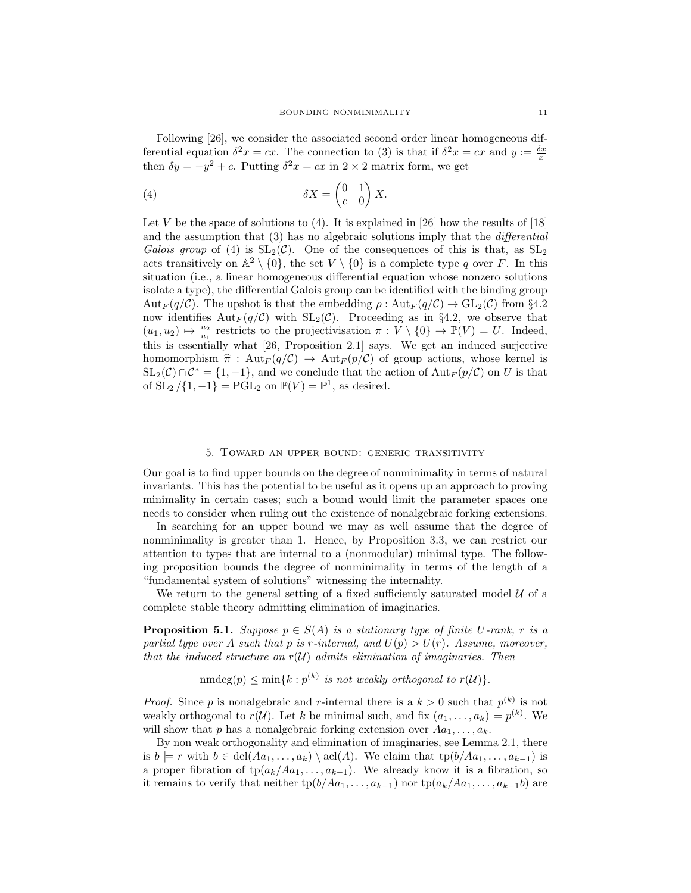Following [26], we consider the associated second order linear homogeneous differential equation  $\delta^2 x = cx$ . The connection to (3) is that if  $\delta^2 x = cx$  and  $y := \frac{\delta x}{x}$ then  $\delta y = -y^2 + c$ . Putting  $\delta^2 x = cx$  in  $2 \times 2$  matrix form, we get

$$
\delta X = \begin{pmatrix} 0 & 1 \\ c & 0 \end{pmatrix} X.
$$

Let V be the space of solutions to  $(4)$ . It is explained in [26] how the results of [18] and the assumption that  $(3)$  has no algebraic solutions imply that the *differential* Galois group of (4) is  $SL_2(\mathcal{C})$ . One of the consequences of this is that, as  $SL_2$ acts transitively on  $\mathbb{A}^2 \setminus \{0\}$ , the set  $V \setminus \{0\}$  is a complete type q over F. In this situation (i.e., a linear homogeneous differential equation whose nonzero solutions isolate a type), the differential Galois group can be identified with the binding group  $Aut_F(q/\mathcal{C})$ . The upshot is that the embedding  $\rho : Aut_F(q/\mathcal{C}) \to GL_2(\mathcal{C})$  from §4.2 now identifies  $\text{Aut}_F(q/\mathcal{C})$  with  $\text{SL}_2(\mathcal{C})$ . Proceeding as in §4.2, we observe that  $(u_1, u_2) \mapsto \frac{u_2}{u_1}$  restricts to the projectivisation  $\pi : V \setminus \{0\} \to \mathbb{P}(V) = U$ . Indeed, this is essentially what [26, Proposition 2.1] says. We get an induced surjective homomorphism  $\hat{\pi}$  : Aut<sub>F</sub> (q/C)  $\rightarrow$  Aut<sub>F</sub> (p/C) of group actions, whose kernel is  $SL_2(\mathcal{C}) \cap \mathcal{C}^* = \{1, -1\}$ , and we conclude that the action of  $Aut_F(p/\mathcal{C})$  on U is that of  $SL_2/\{1,-1\} = PGL_2$  on  $\mathbb{P}(V) = \mathbb{P}^1$ , as desired.

### 5. Toward an upper bound: generic transitivity

Our goal is to find upper bounds on the degree of nonminimality in terms of natural invariants. This has the potential to be useful as it opens up an approach to proving minimality in certain cases; such a bound would limit the parameter spaces one needs to consider when ruling out the existence of nonalgebraic forking extensions.

In searching for an upper bound we may as well assume that the degree of nonminimality is greater than 1. Hence, by Proposition 3.3, we can restrict our attention to types that are internal to a (nonmodular) minimal type. The following proposition bounds the degree of nonminimality in terms of the length of a "fundamental system of solutions" witnessing the internality.

We return to the general setting of a fixed sufficiently saturated model  $U$  of a complete stable theory admitting elimination of imaginaries.

**Proposition 5.1.** Suppose  $p \in S(A)$  is a stationary type of finite U-rank, r is a partial type over A such that p is r-internal, and  $U(p) > U(r)$ . Assume, moreover, that the induced structure on  $r(\mathcal{U})$  admits elimination of imaginaries. Then

nmdeg $(p) \leq \min\{k : p^{(k)} \text{ is not weakly orthogonal to } r(\mathcal{U})\}.$ 

*Proof.* Since p is nonalgebraic and r-internal there is a  $k > 0$  such that  $p^{(k)}$  is not weakly orthogonal to  $r(\mathcal{U})$ . Let k be minimal such, and fix  $(a_1, \ldots, a_k) \models p^{(k)}$ . We will show that p has a nonalgebraic forking extension over  $Aa_1, \ldots, a_k$ .

By non weak orthogonality and elimination of imaginaries, see Lemma 2.1, there is  $b \models r$  with  $b \in \text{dcl}(Aa_1, \ldots, a_k) \setminus \text{acl}(A)$ . We claim that  $\text{tp}(b/Aa_1, \ldots, a_{k-1})$  is a proper fibration of  $tp(a_k/Aa_1, \ldots, a_{k-1})$ . We already know it is a fibration, so it remains to verify that neither  $tp(b/Aa_1, \ldots, a_{k-1})$  nor  $tp(a_k/Aa_1, \ldots, a_{k-1}b)$  are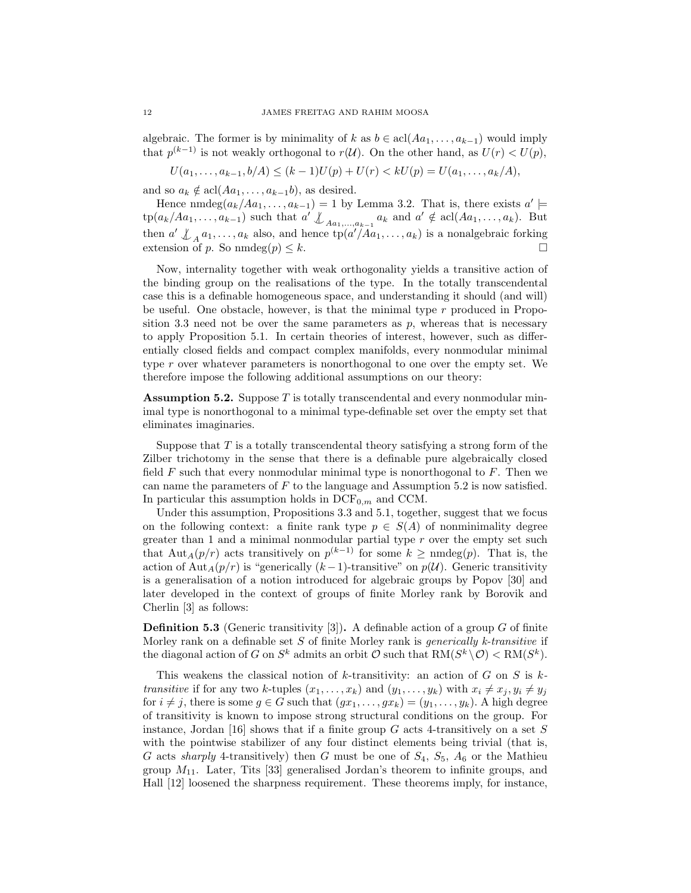algebraic. The former is by minimality of k as  $b \in \text{acl}(Aa_1, \ldots, a_{k-1})$  would imply that  $p^{(k-1)}$  is not weakly orthogonal to  $r(\mathcal{U})$ . On the other hand, as  $U(r) < U(p)$ ,

$$
U(a_1, \ldots, a_{k-1}, b/A) \le (k-1)U(p) + U(r) < kU(p) = U(a_1, \ldots, a_k/A),
$$

and so  $a_k \notin \text{acl}(Aa_1, \ldots, a_{k-1}b)$ , as desired.

Hence nmdeg $(a_k/Aa_1,\ldots,a_{k-1})=1$  by Lemma 3.2. That is, there exists  $a' \models$  $\text{tp}(a_k/Aa_1,\ldots,a_{k-1})$  such that  $a' \nleq_{Aa_1,\ldots,a_{k-1}} a_k$  and  $a' \notin \text{acl}(Aa_1,\ldots,a_k)$ . But then  $a' \nleq_A a_1, \ldots, a_k$  also, and hence  $\text{tp}(a'/Aa_1, \ldots, a_k)$  is a nonalgebraic forking extension of p. So nmdeg $(p) \leq k$ .  $\Box$ 

Now, internality together with weak orthogonality yields a transitive action of the binding group on the realisations of the type. In the totally transcendental case this is a definable homogeneous space, and understanding it should (and will) be useful. One obstacle, however, is that the minimal type  $r$  produced in Proposition 3.3 need not be over the same parameters as  $p$ , whereas that is necessary to apply Proposition 5.1. In certain theories of interest, however, such as differentially closed fields and compact complex manifolds, every nonmodular minimal type r over whatever parameters is nonorthogonal to one over the empty set. We therefore impose the following additional assumptions on our theory:

**Assumption 5.2.** Suppose T is totally transcendental and every nonmodular minimal type is nonorthogonal to a minimal type-definable set over the empty set that eliminates imaginaries.

Suppose that  $T$  is a totally transcendental theory satisfying a strong form of the Zilber trichotomy in the sense that there is a definable pure algebraically closed field  $F$  such that every nonmodular minimal type is nonorthogonal to  $F$ . Then we can name the parameters of  $F$  to the language and Assumption 5.2 is now satisfied. In particular this assumption holds in  $DCF_{0,m}$  and CCM.

Under this assumption, Propositions 3.3 and 5.1, together, suggest that we focus on the following context: a finite rank type  $p \in S(A)$  of nonminimality degree greater than  $1$  and a minimal nonmodular partial type  $r$  over the empty set such that Aut<sub>A</sub>( $p/r$ ) acts transitively on  $p^{(k-1)}$  for some  $k \ge \text{nmdeg}(p)$ . That is, the action of Aut<sub>A</sub> $(p/r)$  is "generically  $(k-1)$ -transitive" on  $p(U)$ . Generic transitivity is a generalisation of a notion introduced for algebraic groups by Popov [30] and later developed in the context of groups of finite Morley rank by Borovik and Cherlin [3] as follows:

**Definition 5.3** (Generic transitivity [3]). A definable action of a group G of finite Morley rank on a definable set  $S$  of finite Morley rank is *generically k-transitive* if the diagonal action of G on  $S^k$  admits an orbit  $\mathcal O$  such that  $\text{RM}(S^k \setminus \mathcal O) < \text{RM}(S^k)$ .

This weakens the classical notion of  $k$ -transitivity: an action of  $G$  on  $S$  is  $k$ transitive if for any two k-tuples  $(x_1, \ldots, x_k)$  and  $(y_1, \ldots, y_k)$  with  $x_i \neq x_j, y_i \neq y_j$ for  $i \neq j$ , there is some  $g \in G$  such that  $(gx_1, \ldots, gx_k) = (y_1, \ldots, y_k)$ . A high degree of transitivity is known to impose strong structural conditions on the group. For instance, Jordan [16] shows that if a finite group  $G$  acts 4-transitively on a set  $S$ with the pointwise stabilizer of any four distinct elements being trivial (that is, G acts sharply 4-transitively) then G must be one of  $S_4$ ,  $S_5$ ,  $A_6$  or the Mathieu group  $M_{11}$ . Later, Tits [33] generalised Jordan's theorem to infinite groups, and Hall [12] loosened the sharpness requirement. These theorems imply, for instance,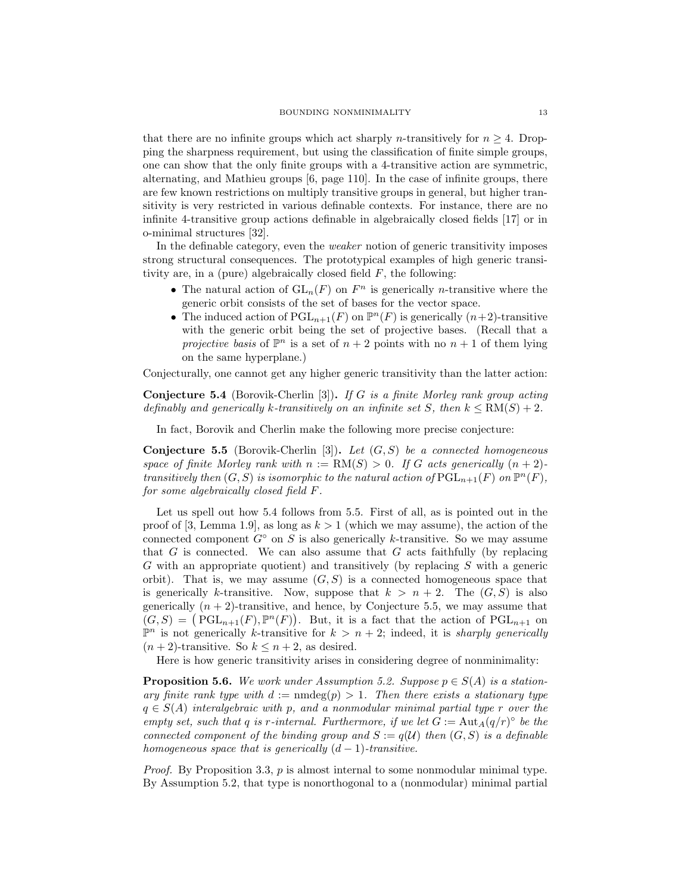that there are no infinite groups which act sharply *n*-transitively for  $n \geq 4$ . Dropping the sharpness requirement, but using the classification of finite simple groups, one can show that the only finite groups with a 4-transitive action are symmetric, alternating, and Mathieu groups [6, page 110]. In the case of infinite groups, there are few known restrictions on multiply transitive groups in general, but higher transitivity is very restricted in various definable contexts. For instance, there are no infinite 4-transitive group actions definable in algebraically closed fields [17] or in o-minimal structures [32].

In the definable category, even the weaker notion of generic transitivity imposes strong structural consequences. The prototypical examples of high generic transitivity are, in a (pure) algebraically closed field  $F$ , the following:

- The natural action of  $GL_n(F)$  on  $F^n$  is generically *n*-transitive where the generic orbit consists of the set of bases for the vector space.
- The induced action of  $\text{PGL}_{n+1}(F)$  on  $\mathbb{P}^n(F)$  is generically  $(n+2)$ -transitive with the generic orbit being the set of projective bases. (Recall that a projective basis of  $\mathbb{P}^n$  is a set of  $n+2$  points with no  $n+1$  of them lying on the same hyperplane.)

Conjecturally, one cannot get any higher generic transitivity than the latter action:

**Conjecture 5.4** (Borovik-Cherlin [3]). If G is a finite Morley rank group acting definably and generically k-transitively on an infinite set S, then  $k \leq RM(S) + 2$ .

In fact, Borovik and Cherlin make the following more precise conjecture:

**Conjecture 5.5** (Borovik-Cherlin [3]). Let  $(G, S)$  be a connected homogeneous space of finite Morley rank with  $n := RM(S) > 0$ . If G acts generically  $(n + 2)$ transitively then  $(G, S)$  is isomorphic to the natural action of  ${\rm PGL}_{n+1}(F)$  on  $\mathbb{P}^n(F)$ , for some algebraically closed field F.

Let us spell out how 5.4 follows from 5.5. First of all, as is pointed out in the proof of [3, Lemma 1.9], as long as  $k > 1$  (which we may assume), the action of the connected component  $G^{\circ}$  on S is also generically k-transitive. So we may assume that  $G$  is connected. We can also assume that  $G$  acts faithfully (by replacing G with an appropriate quotient) and transitively (by replacing S with a generic orbit). That is, we may assume  $(G, S)$  is a connected homogeneous space that is generically k-transitive. Now, suppose that  $k > n + 2$ . The  $(G, S)$  is also generically  $(n + 2)$ -transitive, and hence, by Conjecture 5.5, we may assume that  $(G, S) = (PGL_{n+1}(F), \mathbb{P}^n(F)).$  But, it is a fact that the action of  $PGL_{n+1}$  on  $\mathbb{P}^n$  is not generically k-transitive for  $k > n+2$ ; indeed, it is sharply generically  $(n+2)$ -transitive. So  $k \leq n+2$ , as desired.

Here is how generic transitivity arises in considering degree of nonminimality:

**Proposition 5.6.** We work under Assumption 5.2. Suppose  $p \in S(A)$  is a stationary finite rank type with  $d := \text{ndeg}(p) > 1$ . Then there exists a stationary type  $q \in S(A)$  interalgebraic with p, and a nonmodular minimal partial type r over the empty set, such that q is r-internal. Furthermore, if we let  $G := \text{Aut}_A(q/r)^\circ$  be the connected component of the binding group and  $S := q(\mathcal{U})$  then  $(G, S)$  is a definable homogeneous space that is generically  $(d-1)$ -transitive.

*Proof.* By Proposition 3.3,  $p$  is almost internal to some nonmodular minimal type. By Assumption 5.2, that type is nonorthogonal to a (nonmodular) minimal partial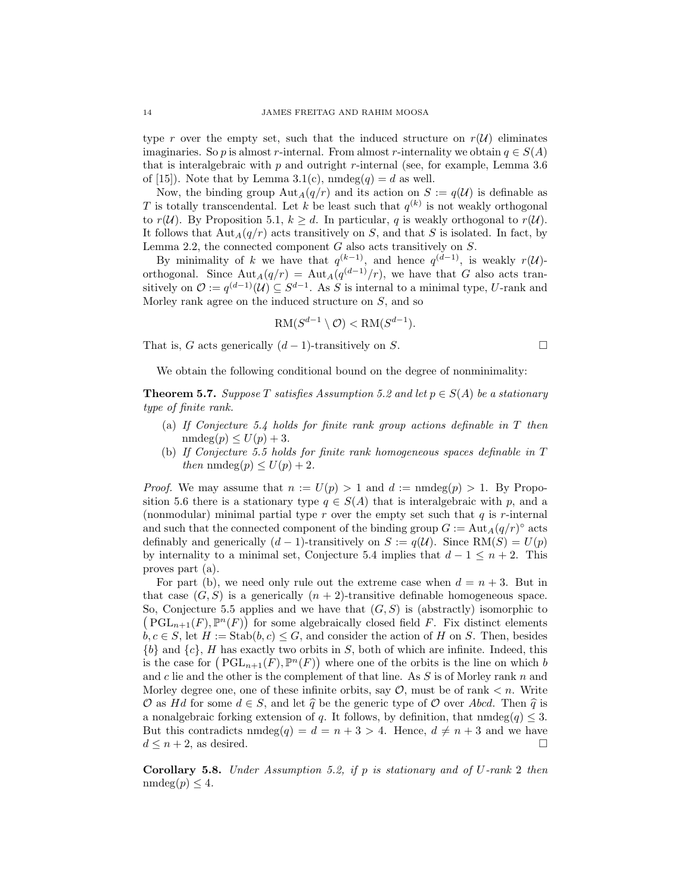type r over the empty set, such that the induced structure on  $r(\mathcal{U})$  eliminates imaginaries. So p is almost r-internal. From almost r-internality we obtain  $q \in S(A)$ that is interalgebraic with  $p$  and outright r-internal (see, for example, Lemma 3.6) of [15]). Note that by Lemma 3.1(c), nmdeg $(q) = d$  as well.

Now, the binding group  ${\rm Aut}_A(q/r)$  and its action on  $S := q(\mathcal{U})$  is definable as T is totally transcendental. Let k be least such that  $q^{(k)}$  is not weakly orthogonal to  $r(\mathcal{U})$ . By Proposition 5.1,  $k > d$ . In particular, q is weakly orthogonal to  $r(\mathcal{U})$ . It follows that  $\text{Aut}_{A}(q/r)$  acts transitively on S, and that S is isolated. In fact, by Lemma 2.2, the connected component  $G$  also acts transitively on  $S$ .

By minimality of k we have that  $q^{(k-1)}$ , and hence  $q^{(d-1)}$ , is weakly  $r(\mathcal{U})$ orthogonal. Since  $\text{Aut}_A(q/r) = \text{Aut}_A(q^{(d-1)}/r)$ , we have that G also acts transitively on  $\mathcal{O} := q^{(d-1)}(\mathcal{U}) \subseteq S^{d-1}$ . As S is internal to a minimal type, U-rank and Morley rank agree on the induced structure on  $S$ , and so

$$
\mathcal{RM}(S^{d-1} \setminus \mathcal{O}) < \mathcal{RM}(S^{d-1}).
$$

That is, G acts generically  $(d-1)$ -transitively on S. □

We obtain the following conditional bound on the degree of nonminimality:

**Theorem 5.7.** Suppose T satisfies Assumption 5.2 and let  $p \in S(A)$  be a stationary type of finite rank.

- (a) If Conjecture 5.4 holds for finite rank group actions definable in T then nmdeg $(p) \leq U(p) + 3$ .
- (b) If Conjecture 5.5 holds for finite rank homogeneous spaces definable in T then nmdeg $(p) \leq U(p) + 2$ .

*Proof.* We may assume that  $n := U(p) > 1$  and  $d := \text{nmdeg}(p) > 1$ . By Proposition 5.6 there is a stationary type  $q \in S(A)$  that is interalgebraic with p, and a (nonmodular) minimal partial type  $r$  over the empty set such that  $q$  is  $r$ -internal and such that the connected component of the binding group  $G := \text{Aut}_A(q/r)^\circ$  acts definably and generically  $(d-1)$ -transitively on  $S := q(\mathcal{U})$ . Since RM(S) =  $U(p)$ by internality to a minimal set, Conjecture 5.4 implies that  $d-1 \leq n+2$ . This proves part (a).

For part (b), we need only rule out the extreme case when  $d = n + 3$ . But in that case  $(G, S)$  is a generically  $(n + 2)$ -transitive definable homogeneous space. So, Conjecture 5.5 applies and we have that  $(G, S)$  is (abstractly) isomorphic to  $(PGL_{n+1}(F), \mathbb{P}^n(F))$  for some algebraically closed field F. Fix distinct elements  $b, c \in S$ , let  $H := \text{Stab}(b, c) \leq G$ , and consider the action of H on S. Then, besides  ${b}$  and  ${c}$ , H has exactly two orbits in S, both of which are infinite. Indeed, this is the case for  $(PGL_{n+1}(F), \mathbb{P}^n(F))$  where one of the orbits is the line on which b and c lie and the other is the complement of that line. As  $S$  is of Morley rank  $n$  and Morley degree one, one of these infinite orbits, say  $\mathcal{O}$ , must be of rank  $\leq n$ . Write  $\mathcal O$  as Hd for some  $d \in S$ , and let  $\hat{q}$  be the generic type of  $\mathcal O$  over Abcd. Then  $\hat{q}$  is a nonalgebraic forking extension of q. It follows, by definition, that  $\text{nmdeg}(q) \leq 3$ . But this contradicts nmdeg $(q) = d = n + 3 > 4$ . Hence,  $d \neq n + 3$  and we have  $d \leq n+2$ , as desired. □

**Corollary 5.8.** Under Assumption 5.2, if p is stationary and of U-rank 2 then nmdeg $(p) \leq 4$ .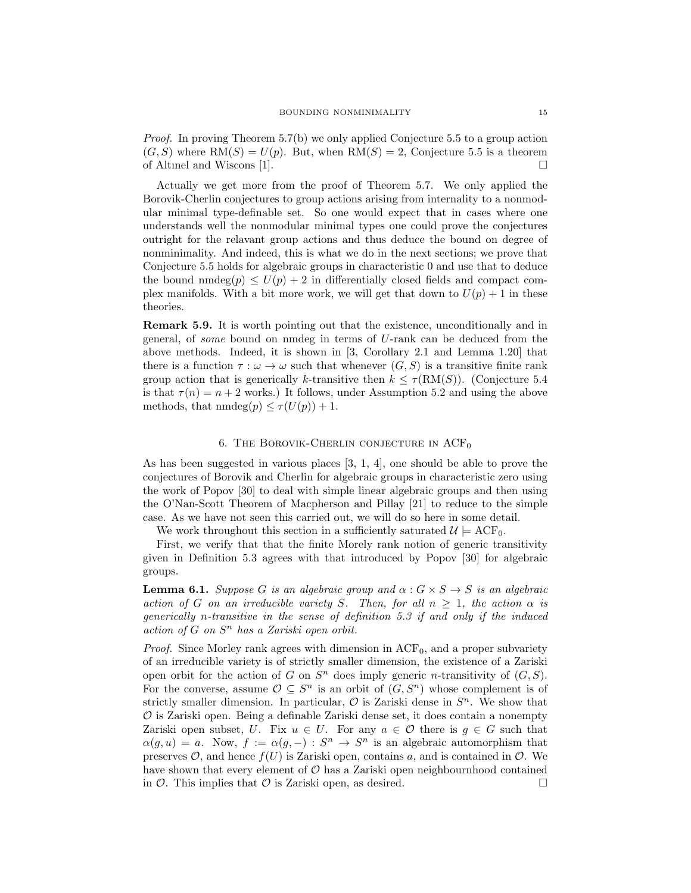*Proof.* In proving Theorem 5.7(b) we only applied Conjecture 5.5 to a group action  $(G, S)$  where RM $(S) = U(p)$ . But, when RM $(S) = 2$ , Conjecture 5.5 is a theorem of Altınel and Wiscons [1].  $\Box$ 

Actually we get more from the proof of Theorem 5.7. We only applied the Borovik-Cherlin conjectures to group actions arising from internality to a nonmodular minimal type-definable set. So one would expect that in cases where one understands well the nonmodular minimal types one could prove the conjectures outright for the relavant group actions and thus deduce the bound on degree of nonminimality. And indeed, this is what we do in the next sections; we prove that Conjecture 5.5 holds for algebraic groups in characteristic 0 and use that to deduce the bound nmdeg $(p) \le U(p) + 2$  in differentially closed fields and compact complex manifolds. With a bit more work, we will get that down to  $U(p) + 1$  in these theories.

Remark 5.9. It is worth pointing out that the existence, unconditionally and in general, of some bound on nmdeg in terms of U-rank can be deduced from the above methods. Indeed, it is shown in [3, Corollary 2.1 and Lemma 1.20] that there is a function  $\tau : \omega \to \omega$  such that whenever  $(G, S)$  is a transitive finite rank group action that is generically k-transitive then  $k \leq \tau(\text{RM}(S))$ . (Conjecture 5.4) is that  $\tau(n) = n + 2$  works.) It follows, under Assumption 5.2 and using the above methods, that  $\text{nmdeg}(p) \leq \tau(U(p)) + 1$ .

### 6. THE BOROVIK-CHERLIN CONJECTURE IN  $ACF_0$

As has been suggested in various places [3, 1, 4], one should be able to prove the conjectures of Borovik and Cherlin for algebraic groups in characteristic zero using the work of Popov [30] to deal with simple linear algebraic groups and then using the O'Nan-Scott Theorem of Macpherson and Pillay [21] to reduce to the simple case. As we have not seen this carried out, we will do so here in some detail.

We work throughout this section in a sufficiently saturated  $\mathcal{U} \models \text{ACF}_0$ .

First, we verify that that the finite Morely rank notion of generic transitivity given in Definition 5.3 agrees with that introduced by Popov [30] for algebraic groups.

**Lemma 6.1.** Suppose G is an algebraic group and  $\alpha$  :  $G \times S \rightarrow S$  is an algebraic action of G on an irreducible variety S. Then, for all  $n \geq 1$ , the action  $\alpha$  is generically n-transitive in the sense of definition 5.3 if and only if the induced  $action of G on S<sup>n</sup> has a Zariski open orbit.$ 

*Proof.* Since Morley rank agrees with dimension in  $ACF_0$ , and a proper subvariety of an irreducible variety is of strictly smaller dimension, the existence of a Zariski open orbit for the action of G on  $S<sup>n</sup>$  does imply generic *n*-transitivity of  $(G, S)$ . For the converse, assume  $\mathcal{O} \subseteq S^n$  is an orbit of  $(G, S^n)$  whose complement is of strictly smaller dimension. In particular,  $\mathcal O$  is Zariski dense in  $S^n$ . We show that  $\mathcal O$  is Zariski open. Being a definable Zariski dense set, it does contain a nonempty Zariski open subset, U. Fix  $u \in U$ . For any  $a \in \mathcal{O}$  there is  $g \in G$  such that  $\alpha(g, u) = a$ . Now,  $f := \alpha(g, -) : S^n \to S^n$  is an algebraic automorphism that preserves  $\mathcal{O}$ , and hence  $f(U)$  is Zariski open, contains a, and is contained in  $\mathcal{O}$ . We have shown that every element of  $\mathcal O$  has a Zariski open neighbournhood contained in  $\mathcal{O}$ . This implies that  $\mathcal{O}$  is Zariski open, as desired.  $\Box$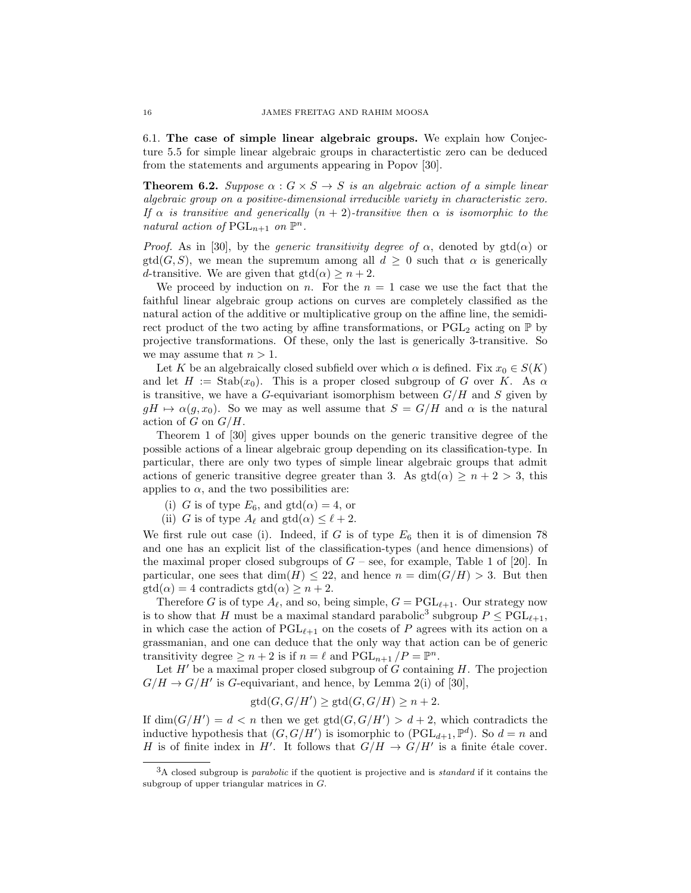6.1. The case of simple linear algebraic groups. We explain how Conjecture 5.5 for simple linear algebraic groups in charactertistic zero can be deduced from the statements and arguments appearing in Popov [30].

**Theorem 6.2.** Suppose  $\alpha$  :  $G \times S \rightarrow S$  is an algebraic action of a simple linear algebraic group on a positive-dimensional irreducible variety in characteristic zero. If  $\alpha$  is transitive and generically  $(n + 2)$ -transitive then  $\alpha$  is isomorphic to the natural action of  $\mathrm{PGL}_{n+1}$  on  $\mathbb{P}^n$ .

*Proof.* As in [30], by the *generic transitivity degree of*  $\alpha$ , denoted by gtd( $\alpha$ ) or gtd(G, S), we mean the supremum among all  $d \geq 0$  such that  $\alpha$  is generically d-transitive. We are given that  $\text{gtd}(\alpha) \geq n+2$ .

We proceed by induction on n. For the  $n = 1$  case we use the fact that the faithful linear algebraic group actions on curves are completely classified as the natural action of the additive or multiplicative group on the affine line, the semidirect product of the two acting by affine transformations, or  $PGL_2$  acting on  $\mathbb P$  by projective transformations. Of these, only the last is generically 3-transitive. So we may assume that  $n > 1$ .

Let K be an algebraically closed subfield over which  $\alpha$  is defined. Fix  $x_0 \in S(K)$ and let  $H := \text{Stab}(x_0)$ . This is a proper closed subgroup of G over K. As  $\alpha$ is transitive, we have a G-equivariant isomorphism between  $G/H$  and S given by  $gH \mapsto \alpha(g, x_0)$ . So we may as well assume that  $S = G/H$  and  $\alpha$  is the natural action of G on  $G/H$ .

Theorem 1 of [30] gives upper bounds on the generic transitive degree of the possible actions of a linear algebraic group depending on its classification-type. In particular, there are only two types of simple linear algebraic groups that admit actions of generic transitive degree greater than 3. As  $\text{gtd}(\alpha) \geq n+2 > 3$ , this applies to  $\alpha$ , and the two possibilities are:

(i) G is of type  $E_6$ , and  $\text{gtd}(\alpha) = 4$ , or

(ii) G is of type  $A_{\ell}$  and  $\text{gtd}(\alpha) \leq \ell + 2$ .

We first rule out case (i). Indeed, if G is of type  $E_6$  then it is of dimension 78 and one has an explicit list of the classification-types (and hence dimensions) of the maximal proper closed subgroups of  $G$  – see, for example, Table 1 of [20]. In particular, one sees that dim( $H$ )  $\leq$  22, and hence  $n = \dim(G/H) > 3$ . But then  $\text{gtd}(\alpha) = 4$  contradicts  $\text{gtd}(\alpha) \geq n + 2$ .

Therefore G is of type  $A_{\ell}$ , and so, being simple,  $G = \text{PGL}_{\ell+1}$ . Our strategy now is to show that H must be a maximal standard parabolic<sup>3</sup> subgroup  $P \leq \mathrm{PGL}_{\ell+1}$ , in which case the action of  $PGL_{\ell+1}$  on the cosets of P agrees with its action on a grassmanian, and one can deduce that the only way that action can be of generic transitivity degree  $\geq n+2$  is if  $n = \ell$  and  $\text{PGL}_{n+1}/P = \mathbb{P}^n$ .

Let  $H'$  be a maximal proper closed subgroup of G containing  $H$ . The projection  $G/H \to G/H'$  is G-equivariant, and hence, by Lemma 2(i) of [30],

$$
\text{gtd}(G, G/H') \ge \text{gtd}(G, G/H) \ge n + 2.
$$

If  $\dim(G/H') = d < n$  then we get  $\gcd(G, G/H') > d+2$ , which contradicts the inductive hypothesis that  $(G, G/H')$  is isomorphic to  $(PGL_{d+1}, \mathbb{P}^d)$ . So  $d = n$  and H is of finite index in H'. It follows that  $G/H \to G/H'$  is a finite étale cover.

<sup>&</sup>lt;sup>3</sup>A closed subgroup is *parabolic* if the quotient is projective and is *standard* if it contains the subgroup of upper triangular matrices in G.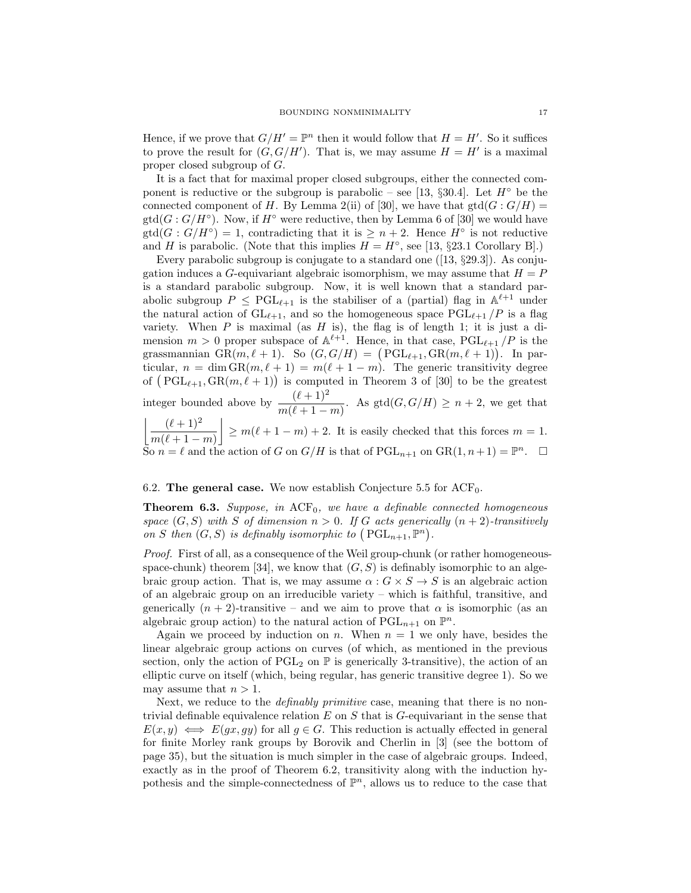Hence, if we prove that  $G/H' = \mathbb{P}^n$  then it would follow that  $H = H'$ . So it suffices to prove the result for  $(G, G/H')$ . That is, we may assume  $H = H'$  is a maximal proper closed subgroup of G.

It is a fact that for maximal proper closed subgroups, either the connected component is reductive or the subgroup is parabolic – see [13, §30.4]. Let  $H^{\circ}$  be the connected component of H. By Lemma 2(ii) of [30], we have that  $\text{gtd}(G : G/H) =$  $\text{gtd}(G: G/H^{\circ})$ . Now, if  $H^{\circ}$  were reductive, then by Lemma 6 of [30] we would have  $\text{gtd}(G: G/H^{\circ}) = 1$ , contradicting that it is  $\geq n+2$ . Hence  $H^{\circ}$  is not reductive and H is parabolic. (Note that this implies  $H = H^{\circ}$ , see [13, §23.1 Corollary B].)

Every parabolic subgroup is conjugate to a standard one  $(13, §29.3)$ . As conjugation induces a G-equivariant algebraic isomorphism, we may assume that  $H = P$ is a standard parabolic subgroup. Now, it is well known that a standard parabolic subgroup  $P \leq \text{PGL}_{\ell+1}$  is the stabiliser of a (partial) flag in  $\mathbb{A}^{\ell+1}$  under the natural action of  $GL_{\ell+1}$ , and so the homogeneous space  $PGL_{\ell+1}/P$  is a flag variety. When  $P$  is maximal (as  $H$  is), the flag is of length 1; it is just a dimension  $m > 0$  proper subspace of  $\mathbb{A}^{\ell+1}$ . Hence, in that case,  $PGL_{\ell+1}/P$  is the grassmannian  $\text{GR}(m, \ell + 1)$ . So  $(G, G/H) = (\text{PGL}_{\ell+1}, \text{GR}(m, \ell + 1))$ . In particular,  $n = \dim \text{GR}(m, \ell + 1) = m(\ell + 1 - m)$ . The generic transitivity degree of  $(PGL_{\ell+1}, GR(m,\ell+1))$  is computed in Theorem 3 of [30] to be the greatest integer bounded above by  $\frac{(\ell+1)^2}{m(\ell+1-m)}$ . As gtd $(G, G/H) \geq n+2$ , we get that

 $| (\ell + 1)^2$  $\vert \geq m(\ell+1-m)+2$ . It is easily checked that this forces  $m=1$ .

 $m(\ell+1-m)$ So  $n = \ell$  and the action of G on  $G/H$  is that of  $PGL_{n+1}$  on  $GR(1, n+1) = \mathbb{P}^n$ .  $\Box$ 

# 6.2. The general case. We now establish Conjecture 5.5 for  $ACF_0$ .

**Theorem 6.3.** Suppose, in  $ACF_0$ , we have a definable connected homogeneous space  $(G, S)$  with S of dimension  $n > 0$ . If G acts generically  $(n + 2)$ -transitively on S then  $(G, S)$  is definably isomorphic to  $( \text{PGL}_{n+1}, \mathbb{P}^n)$ .

Proof. First of all, as a consequence of the Weil group-chunk (or rather homogeneousspace-chunk) theorem [34], we know that  $(G, S)$  is definably isomorphic to an algebraic group action. That is, we may assume  $\alpha : G \times S \to S$  is an algebraic action of an algebraic group on an irreducible variety – which is faithful, transitive, and generically  $(n + 2)$ -transitive – and we aim to prove that  $\alpha$  is isomorphic (as an algebraic group action) to the natural action of  $PGL_{n+1}$  on  $\mathbb{P}^n$ .

Again we proceed by induction on n. When  $n = 1$  we only have, besides the linear algebraic group actions on curves (of which, as mentioned in the previous section, only the action of  $PGL_2$  on  $\mathbb P$  is generically 3-transitive), the action of an elliptic curve on itself (which, being regular, has generic transitive degree 1). So we may assume that  $n > 1$ .

Next, we reduce to the *definably primitive* case, meaning that there is no nontrivial definable equivalence relation  $E$  on  $S$  that is  $G$ -equivariant in the sense that  $E(x, y) \iff E(gx, gy)$  for all  $g \in G$ . This reduction is actually effected in general for finite Morley rank groups by Borovik and Cherlin in [3] (see the bottom of page 35), but the situation is much simpler in the case of algebraic groups. Indeed, exactly as in the proof of Theorem 6.2, transitivity along with the induction hypothesis and the simple-connectedness of  $\mathbb{P}^n$ , allows us to reduce to the case that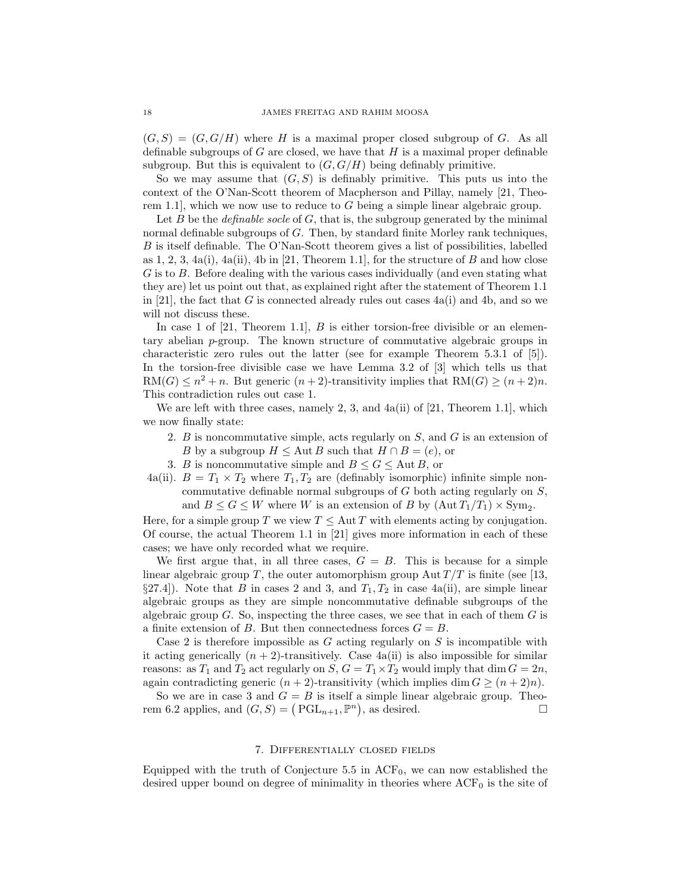$(G, S) = (G, G/H)$  where H is a maximal proper closed subgroup of G. As all definable subgroups of G are closed, we have that  $H$  is a maximal proper definable subgroup. But this is equivalent to  $(G, G/H)$  being definably primitive.

So we may assume that  $(G, S)$  is definably primitive. This puts us into the context of the O'Nan-Scott theorem of Macpherson and Pillay, namely [21, Theorem 1.1, which we now use to reduce to  $G$  being a simple linear algebraic group.

Let B be the *definable socle* of  $G$ , that is, the subgroup generated by the minimal normal definable subgroups of G. Then, by standard finite Morley rank techniques, B is itself definable. The O'Nan-Scott theorem gives a list of possibilities, labelled as  $1, 2, 3, 4a(i), 4a(ii), 4b$  in [21, Theorem 1.1], for the structure of  $B$  and how close G is to B. Before dealing with the various cases individually (and even stating what they are) let us point out that, as explained right after the statement of Theorem 1.1 in [21], the fact that G is connected already rules out cases  $4a(i)$  and  $4b$ , and so we will not discuss these.

In case 1 of  $[21,$  Theorem 1.1, B is either torsion-free divisible or an elementary abelian  $p$ -group. The known structure of commutative algebraic groups in characteristic zero rules out the latter (see for example Theorem 5.3.1 of [5]). In the torsion-free divisible case we have Lemma 3.2 of [3] which tells us that  $RM(G) \leq n^2 + n$ . But generic  $(n+2)$ -transitivity implies that  $RM(G) \geq (n+2)n$ . This contradiction rules out case 1.

We are left with three cases, namely 2, 3, and  $4a(i)$  of [21, Theorem 1.1], which we now finally state:

- 2. B is noncommutative simple, acts regularly on  $S$ , and  $G$  is an extension of B by a subgroup  $H \leq$  Aut B such that  $H \cap B = (e)$ , or
- 3. B is noncommutative simple and  $B \le G \le \text{Aut } B$ , or
- 4a(ii).  $B = T_1 \times T_2$  where  $T_1, T_2$  are (definably isomorphic) infinite simple noncommutative definable normal subgroups of  $G$  both acting regularly on  $S$ , and  $B \le G \le W$  where W is an extension of B by  $(\text{Aut } T_1/T_1) \times \text{Sym}_2$ .

Here, for a simple group T we view  $T \leq \text{Aut } T$  with elements acting by conjugation. Of course, the actual Theorem 1.1 in [21] gives more information in each of these cases; we have only recorded what we require.

We first argue that, in all three cases,  $G = B$ . This is because for a simple linear algebraic group T, the outer automorphism group  $\text{Aut } T/T$  is finite (see [13,  $\S 27.4$ ). Note that B in cases 2 and 3, and  $T_1, T_2$  in case 4a(ii), are simple linear algebraic groups as they are simple noncommutative definable subgroups of the algebraic group  $G$ . So, inspecting the three cases, we see that in each of them  $G$  is a finite extension of B. But then connectedness forces  $G = B$ .

Case 2 is therefore impossible as  $G$  acting regularly on  $S$  is incompatible with it acting generically  $(n + 2)$ -transitively. Case  $4a(i)$  is also impossible for similar reasons: as  $T_1$  and  $T_2$  act regularly on  $S, G = T_1 \times T_2$  would imply that dim  $G = 2n$ , again contradicting generic  $(n + 2)$ -transitivity (which implies dim  $G \ge (n + 2)n$ ).

So we are in case 3 and  $G = B$  is itself a simple linear algebraic group. Theorem 6.2 applies, and  $(G, S) = (PGL_{n+1}, \mathbb{P}^n)$ , as desired.  $\Box$ 

#### 7. Differentially closed fields

Equipped with the truth of Conjecture 5.5 in  $ACF_0$ , we can now established the desired upper bound on degree of minimality in theories where  $ACF_0$  is the site of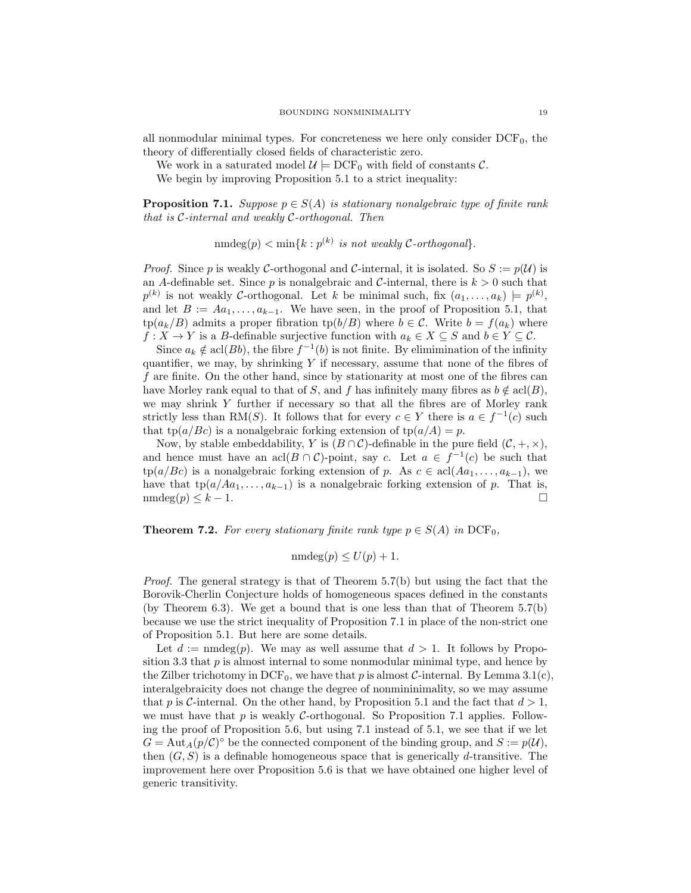all nonmodular minimal types. For concreteness we here only consider  $DCF_0$ , the theory of differentially closed fields of characteristic zero.

We work in a saturated model  $\mathcal{U} \models DCF_0$  with field of constants C.

We begin by improving Proposition 5.1 to a strict inequality:

**Proposition 7.1.** Suppose  $p \in S(A)$  is stationary nonalgebraic type of finite rank that is C-internal and weakly C-orthogonal. Then

$$
\mathrm{nmdeg}(p) < \min\{k : p^{(k)} \text{ is not weakly } \mathcal{C}\text{-orthogonal}\}.
$$

*Proof.* Since p is weakly C-orthogonal and C-internal, it is isolated. So  $S := p(\mathcal{U})$  is an A-definable set. Since p is nonalgebraic and C-internal, there is  $k > 0$  such that  $p^{(k)}$  is not weakly C-orthogonal. Let k be minimal such, fix  $(a_1, \ldots, a_k) \models p^{(k)}$ , and let  $B := Aa_1, \ldots, a_{k-1}$ . We have seen, in the proof of Proposition 5.1, that  $tp(a_k/B)$  admits a proper fibration  $tp(b/B)$  where  $b \in C$ . Write  $b = f(a_k)$  where  $f: X \to Y$  is a B-definable surjective function with  $a_k \in X \subseteq S$  and  $b \in Y \subseteq C$ .

Since  $a_k \notin \text{acl}(Bb)$ , the fibre  $f^{-1}(b)$  is not finite. By elimimination of the infinity quantifier, we may, by shrinking  $Y$  if necessary, assume that none of the fibres of f are finite. On the other hand, since by stationarity at most one of the fibres can have Morley rank equal to that of S, and f has infinitely many fibres as  $b \notin \text{acl}(B)$ , we may shrink Y further if necessary so that all the fibres are of Morley rank strictly less than RM(S). It follows that for every  $c \in Y$  there is  $a \in f^{-1}(c)$  such that tp( $a/Be$ ) is a nonalgebraic forking extension of tp( $a/A$ ) = p.

Now, by stable embeddability, Y is  $(B \cap C)$ -definable in the pure field  $(C, +, \times)$ , and hence must have an acl( $B \cap C$ )-point, say c. Let  $a \in f^{-1}(c)$  be such that  $tp(a/Be)$  is a nonalgebraic forking extension of p. As  $c \in \text{acl}(Aa_1, \ldots, a_{k-1}),$  we have that  $tp(a/Aa_1, \ldots, a_{k-1})$  is a nonalgebraic forking extension of p. That is,  $\text{nmdeg}(p) \leq k - 1.$  □

**Theorem 7.2.** For every stationary finite rank type  $p \in S(A)$  in DCF<sub>0</sub>,

$$
\mathrm{nmdeg}(p) \le U(p) + 1.
$$

Proof. The general strategy is that of Theorem 5.7(b) but using the fact that the Borovik-Cherlin Conjecture holds of homogeneous spaces defined in the constants (by Theorem 6.3). We get a bound that is one less than that of Theorem 5.7(b) because we use the strict inequality of Proposition 7.1 in place of the non-strict one of Proposition 5.1. But here are some details.

Let  $d := \text{nmdeg}(p)$ . We may as well assume that  $d > 1$ . It follows by Proposition 3.3 that  $p$  is almost internal to some nonmodular minimal type, and hence by the Zilber trichotomy in DCF<sub>0</sub>, we have that p is almost C-internal. By Lemma 3.1(c) interalgebraicity does not change the degree of nonmininimality, so we may assume that p is C-internal. On the other hand, by Proposition 5.1 and the fact that  $d > 1$ , we must have that p is weakly C-orthogonal. So Proposition 7.1 applies. Following the proof of Proposition 5.6, but using 7.1 instead of 5.1, we see that if we let  $G = \text{Aut}_A(p/\mathcal{C})^{\circ}$  be the connected component of the binding group, and  $S := p(\mathcal{U}),$ then  $(G, S)$  is a definable homogeneous space that is generically d-transitive. The improvement here over Proposition 5.6 is that we have obtained one higher level of generic transitivity.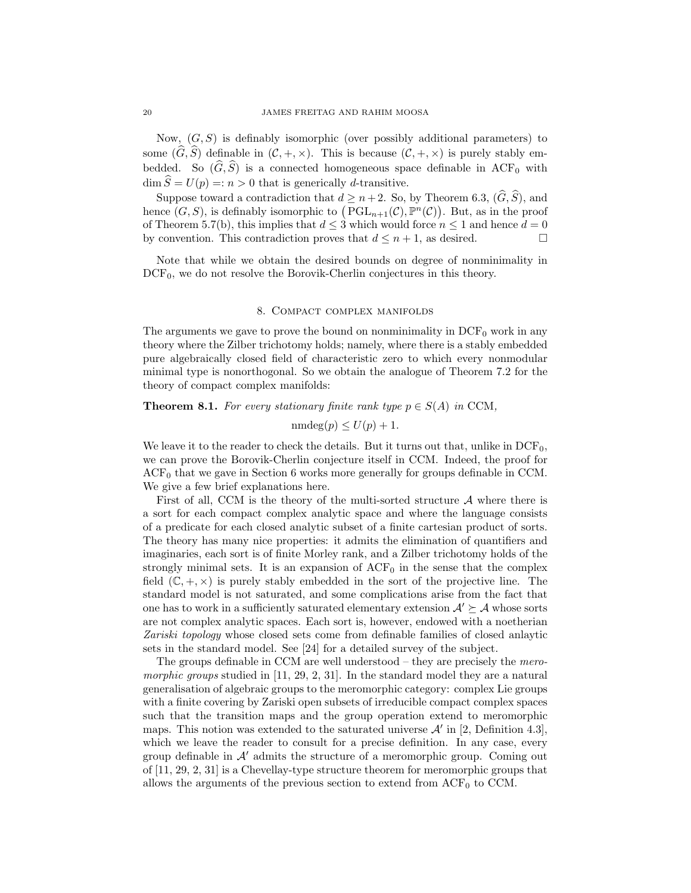Now,  $(G, S)$  is definably isomorphic (over possibly additional parameters) to some  $(\widehat{G}, \widehat{S})$  definable in  $(\mathcal{C}, +, \times)$ . This is because  $(\mathcal{C}, +, \times)$  is purely stably embedded. So  $(\widehat{G}, \widehat{S})$  is a connected homogeneous space definable in ACF<sub>0</sub> with  $\dim \widetilde{S} = U(p) =: n > 0$  that is generically d-transitive.

Suppose toward a contradiction that  $d \geq n+2$ . So, by Theorem 6.3,  $(\widehat{G}, \widehat{S})$ , and hence  $(G, S)$ , is definably isomorphic to  $(PGL_{n+1}(\mathcal{C}), \mathbb{P}^n(\mathcal{C}))$ . But, as in the proof of Theorem 5.7(b), this implies that  $d \leq 3$  which would force  $n \leq 1$  and hence  $d = 0$ by convention. This contradiction proves that  $d \leq n+1$ , as desired.  $\Box$ 

Note that while we obtain the desired bounds on degree of nonminimality in  $DCF<sub>0</sub>$ , we do not resolve the Borovik-Cherlin conjectures in this theory.

# 8. Compact complex manifolds

The arguments we gave to prove the bound on nonminimality in  $DCF<sub>0</sub>$  work in any theory where the Zilber trichotomy holds; namely, where there is a stably embedded pure algebraically closed field of characteristic zero to which every nonmodular minimal type is nonorthogonal. So we obtain the analogue of Theorem 7.2 for the theory of compact complex manifolds:

#### **Theorem 8.1.** For every stationary finite rank type  $p \in S(A)$  in CCM,

$$
\mathrm{nmdeg}(p) \le U(p) + 1.
$$

We leave it to the reader to check the details. But it turns out that, unlike in  $DCF_0$ , we can prove the Borovik-Cherlin conjecture itself in CCM. Indeed, the proof for  $ACF<sub>0</sub>$  that we gave in Section 6 works more generally for groups definable in CCM. We give a few brief explanations here.

First of all, CCM is the theory of the multi-sorted structure  $A$  where there is a sort for each compact complex analytic space and where the language consists of a predicate for each closed analytic subset of a finite cartesian product of sorts. The theory has many nice properties: it admits the elimination of quantifiers and imaginaries, each sort is of finite Morley rank, and a Zilber trichotomy holds of the strongly minimal sets. It is an expansion of  $ACF_0$  in the sense that the complex field  $(\mathbb{C}, +, \times)$  is purely stably embedded in the sort of the projective line. The standard model is not saturated, and some complications arise from the fact that one has to work in a sufficiently saturated elementary extension  $A' \succeq A$  whose sorts are not complex analytic spaces. Each sort is, however, endowed with a noetherian Zariski topology whose closed sets come from definable families of closed anlaytic sets in the standard model. See [24] for a detailed survey of the subject.

The groups definable in CCM are well understood – they are precisely the meromorphic groups studied in [11, 29, 2, 31]. In the standard model they are a natural generalisation of algebraic groups to the meromorphic category: complex Lie groups with a finite covering by Zariski open subsets of irreducible compact complex spaces such that the transition maps and the group operation extend to meromorphic maps. This notion was extended to the saturated universe  $\mathcal{A}'$  in [2, Definition 4.3], which we leave the reader to consult for a precise definition. In any case, every group definable in  $\mathcal{A}'$  admits the structure of a meromorphic group. Coming out of [11, 29, 2, 31] is a Chevellay-type structure theorem for meromorphic groups that allows the arguments of the previous section to extend from  $ACF_0$  to CCM.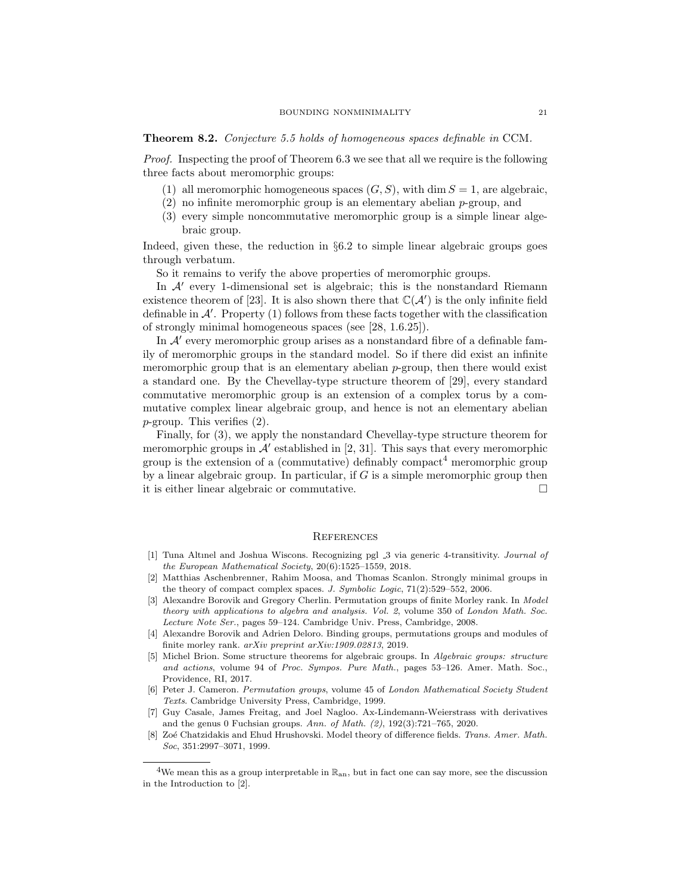#### Theorem 8.2. Conjecture 5.5 holds of homogeneous spaces definable in CCM.

Proof. Inspecting the proof of Theorem 6.3 we see that all we require is the following three facts about meromorphic groups:

- (1) all meromorphic homogeneous spaces  $(G, S)$ , with dim  $S = 1$ , are algebraic,
- $(2)$  no infinite meromorphic group is an elementary abelian p-group, and
- (3) every simple noncommutative meromorphic group is a simple linear algebraic group.

Indeed, given these, the reduction in §6.2 to simple linear algebraic groups goes through verbatum.

So it remains to verify the above properties of meromorphic groups.

In  $A'$  every 1-dimensional set is algebraic; this is the nonstandard Riemann existence theorem of [23]. It is also shown there that  $\mathbb{C}(\mathcal{A}')$  is the only infinite field definable in  $A'$ . Property (1) follows from these facts together with the classification of strongly minimal homogeneous spaces (see [28, 1.6.25]).

In  $A'$  every meromorphic group arises as a nonstandard fibre of a definable family of meromorphic groups in the standard model. So if there did exist an infinite meromorphic group that is an elementary abelian  $p$ -group, then there would exist a standard one. By the Chevellay-type structure theorem of [29], every standard commutative meromorphic group is an extension of a complex torus by a commutative complex linear algebraic group, and hence is not an elementary abelian  $p$ -group. This verifies  $(2)$ .

Finally, for (3), we apply the nonstandard Chevellay-type structure theorem for meromorphic groups in  $\mathcal{A}'$  established in [2, 31]. This says that every meromorphic group is the extension of a (commutative) definably compact<sup>4</sup> meromorphic group by a linear algebraic group. In particular, if G is a simple meromorphic group then it is either linear algebraic or commutative. □

#### **REFERENCES**

- [1] Tuna Altınel and Joshua Wiscons. Recognizing pgl 3 via generic 4-transitivity. Journal of the European Mathematical Society, 20(6):1525–1559, 2018.
- [2] Matthias Aschenbrenner, Rahim Moosa, and Thomas Scanlon. Strongly minimal groups in the theory of compact complex spaces. J. Symbolic Logic, 71(2):529-552, 2006.
- [3] Alexandre Borovik and Gregory Cherlin. Permutation groups of finite Morley rank. In Model theory with applications to algebra and analysis. Vol. 2, volume 350 of London Math. Soc. Lecture Note Ser., pages 59–124. Cambridge Univ. Press, Cambridge, 2008.
- [4] Alexandre Borovik and Adrien Deloro. Binding groups, permutations groups and modules of finite morley rank. arXiv preprint arXiv:1909.02813, 2019.
- [5] Michel Brion. Some structure theorems for algebraic groups. In Algebraic groups: structure and actions, volume 94 of Proc. Sympos. Pure Math., pages 53–126. Amer. Math. Soc., Providence, RI, 2017.
- [6] Peter J. Cameron. Permutation groups, volume 45 of London Mathematical Society Student Texts. Cambridge University Press, Cambridge, 1999.
- [7] Guy Casale, James Freitag, and Joel Nagloo. Ax-Lindemann-Weierstrass with derivatives and the genus 0 Fuchsian groups. Ann. of Math.  $(2)$ , 192 $(3)$ :721–765, 2020.
- [8] Zoé Chatzidakis and Ehud Hrushovski. Model theory of difference fields. Trans. Amer. Math. Soc, 351:2997–3071, 1999.

<sup>&</sup>lt;sup>4</sup>We mean this as a group interpretable in  $\mathbb{R}_{an}$ , but in fact one can say more, see the discussion in the Introduction to [2].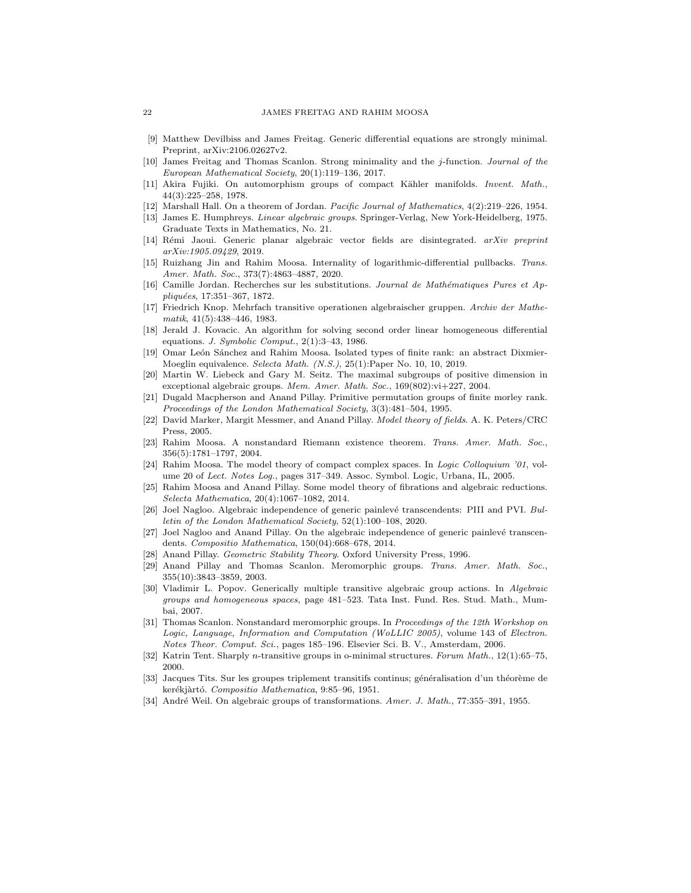- [9] Matthew Devilbiss and James Freitag. Generic differential equations are strongly minimal. Preprint, arXiv:2106.02627v2.
- [10] James Freitag and Thomas Scanlon. Strong minimality and the j-function. Journal of the European Mathematical Society, 20(1):119–136, 2017.
- [11] Akira Fujiki. On automorphism groups of compact Kähler manifolds. Invent. Math., 44(3):225–258, 1978.
- [12] Marshall Hall. On a theorem of Jordan. Pacific Journal of Mathematics, 4(2):219–226, 1954.
- [13] James E. Humphreys. Linear algebraic groups. Springer-Verlag, New York-Heidelberg, 1975. Graduate Texts in Mathematics, No. 21.
- [14] Rémi Jaoui. Generic planar algebraic vector fields are disintegrated. arXiv preprint arXiv:1905.09429, 2019.
- [15] Ruizhang Jin and Rahim Moosa. Internality of logarithmic-differential pullbacks. Trans. Amer. Math. Soc., 373(7):4863–4887, 2020.
- [16] Camille Jordan. Recherches sur les substitutions. Journal de Mathématiques Pures et Appliquées, 17:351-367, 1872.
- [17] Friedrich Knop. Mehrfach transitive operationen algebraischer gruppen. Archiv der Mathematik, 41(5):438–446, 1983.
- [18] Jerald J. Kovacic. An algorithm for solving second order linear homogeneous differential equations. J. Symbolic Comput., 2(1):3–43, 1986.
- [19] Omar León Sánchez and Rahim Moosa. Isolated types of finite rank: an abstract Dixmier-Moeglin equivalence. Selecta Math. (N.S.), 25(1): Paper No. 10, 10, 2019.
- [20] Martin W. Liebeck and Gary M. Seitz. The maximal subgroups of positive dimension in exceptional algebraic groups. Mem. Amer. Math. Soc.,  $169(802):vi+227$ ,  $2004$ .
- [21] Dugald Macpherson and Anand Pillay. Primitive permutation groups of finite morley rank. Proceedings of the London Mathematical Society, 3(3):481–504, 1995.
- [22] David Marker, Margit Messmer, and Anand Pillay. Model theory of fields. A. K. Peters/CRC Press, 2005.
- [23] Rahim Moosa. A nonstandard Riemann existence theorem. Trans. Amer. Math. Soc., 356(5):1781–1797, 2004.
- [24] Rahim Moosa. The model theory of compact complex spaces. In Logic Colloquium '01, volume 20 of Lect. Notes Log., pages 317–349. Assoc. Symbol. Logic, Urbana, IL, 2005.
- [25] Rahim Moosa and Anand Pillay. Some model theory of fibrations and algebraic reductions. Selecta Mathematica, 20(4):1067–1082, 2014.
- [26] Joel Nagloo. Algebraic independence of generic painlevé transcendents: PIII and PVI. Bulletin of the London Mathematical Society, 52(1):100–108, 2020.
- [27] Joel Nagloo and Anand Pillay. On the algebraic independence of generic painlevé transcendents. Compositio Mathematica, 150(04):668–678, 2014.
- [28] Anand Pillay. Geometric Stability Theory. Oxford University Press, 1996.
- [29] Anand Pillay and Thomas Scanlon. Meromorphic groups. Trans. Amer. Math. Soc., 355(10):3843–3859, 2003.
- [30] Vladimir L. Popov. Generically multiple transitive algebraic group actions. In Algebraic groups and homogeneous spaces, page 481–523. Tata Inst. Fund. Res. Stud. Math., Mumbai, 2007.
- [31] Thomas Scanlon. Nonstandard meromorphic groups. In Proceedings of the 12th Workshop on Logic, Language, Information and Computation (WoLLIC 2005), volume 143 of Electron. Notes Theor. Comput. Sci., pages 185–196. Elsevier Sci. B. V., Amsterdam, 2006.
- [32] Katrin Tent. Sharply n-transitive groups in o-minimal structures. Forum Math., 12(1):65–75, 2000.
- [33] Jacques Tits. Sur les groupes triplement transitifs continus; généralisation d'un théorème de kerékjàrtó. Compositio Mathematica, 9:85-96, 1951.
- [34] André Weil. On algebraic groups of transformations. Amer. J. Math., 77:355–391, 1955.